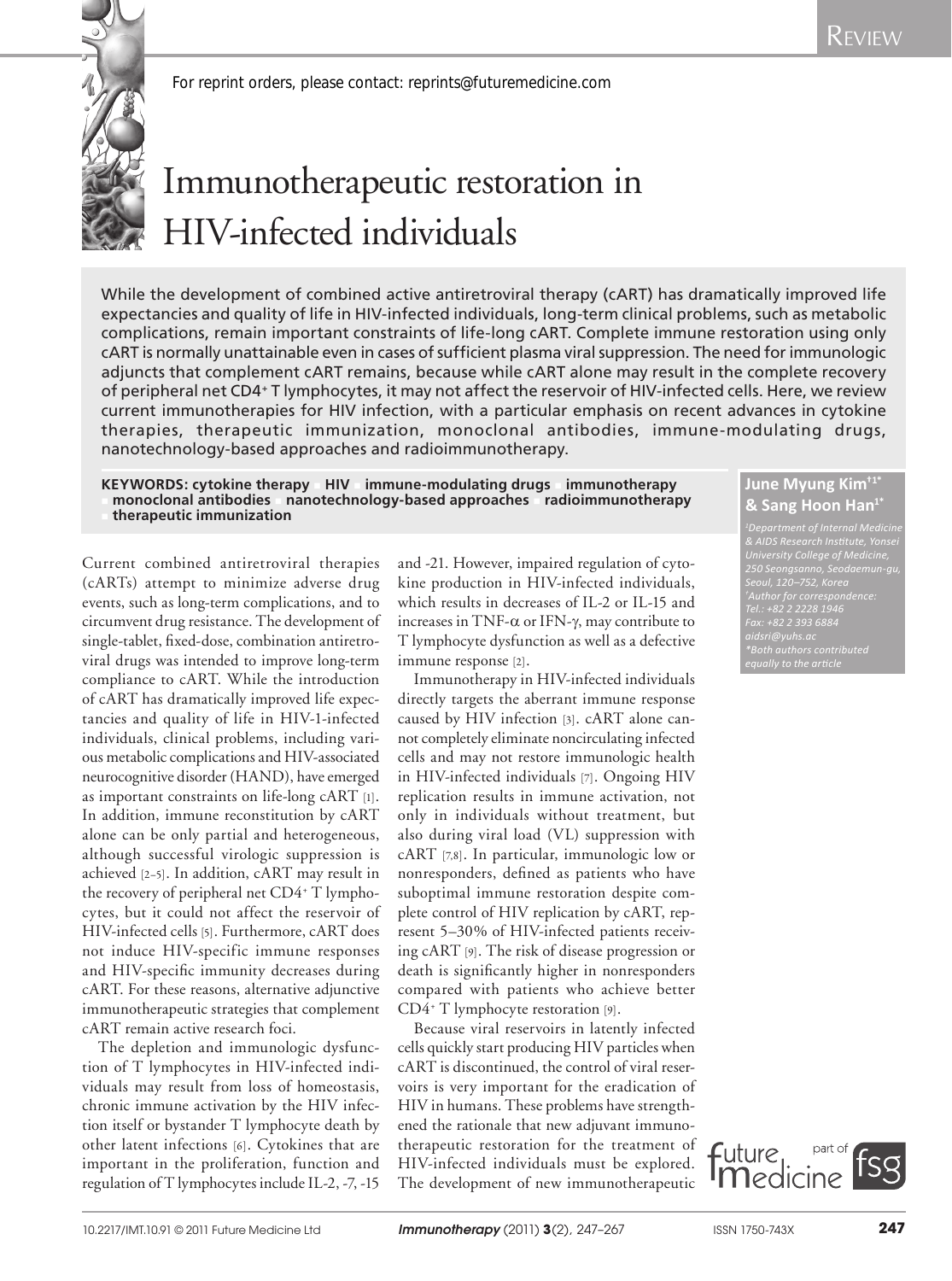

*For reprint orders, please contact: reprints@futuremedicine.com*

# Immunotherapeutic restoration in HIV-infected individuals

While the development of combined active antiretroviral therapy (cART) has dramatically improved life expectancies and quality of life in HIV-infected individuals, long-term clinical problems, such as metabolic complications, remain important constraints of life-long cART. Complete immune restoration using only cART is normally unattainable even in cases of sufficient plasma viral suppression. The need for immunologic adjuncts that complement cART remains, because while cART alone may result in the complete recovery of peripheral net CD4+ T lymphocytes, it may not affect the reservoir of HIV-infected cells. Here, we review current immunotherapies for HIV infection, with a particular emphasis on recent advances in cytokine therapies, therapeutic immunization, monoclonal antibodies, immune-modulating drugs, nanotechnology-based approaches and radioimmunotherapy.

**KEYWORDS: cytokine therapy AIIV immune-modulating drugs immunotherapy** <sup>n</sup> **monoclonal antibodies** n **nanotechnology-based approaches** n **radioimmunotherapy**  <sup>n</sup> **therapeutic immunization**

Current combined antiretroviral therapies (cARTs) attempt to minimize adverse drug events, such as long-term complications, and to circumvent drug resistance. The development of single-tablet, fixed-dose, combination antiretroviral drugs was intended to improve long-term compliance to cART. While the introduction of cART has dramatically improved life expectancies and quality of life in HIV-1-infected individuals, clinical problems, including various metabolic complications and HIV-associated neurocognitive disorder (HAND), have emerged as important constraints on life-long cART [1]. In addition, immune reconstitution by cART alone can be only partial and heterogeneous, although successful virologic suppression is achieved [2–5]. In addition, cART may result in the recovery of peripheral net CD4+ T lymphocytes, but it could not affect the reservoir of HIV-infected cells [5]. Furthermore, cART does not induce HIV-specific immune responses and HIV-specific immunity decreases during cART. For these reasons, alternative adjunctive immunotherapeutic strategies that complement cART remain active research foci.

The depletion and immunologic dysfunction of T lymphocytes in HIV-infected individuals may result from loss of homeostasis, chronic immune activation by the HIV infection itself or bystander T lymphocyte death by other latent infections [6]. Cytokines that are important in the proliferation, function and regulation of T lymphocytes include IL-2, -7, -15 and -21. However, impaired regulation of cytokine production in HIV-infected individuals, which results in decreases of IL-2 or IL-15 and increases in TNF- $\alpha$  or IFN- $\gamma$ , may contribute to T lymphocyte dysfunction as well as a defective immune response [2].

Immunotherapy in HIV-infected individuals directly targets the aberrant immune response caused by HIV infection [3]. cART alone cannot completely eliminate noncirculating infected cells and may not restore immunologic health in HIV-infected individuals [7]. Ongoing HIV replication results in immune activation, not only in individuals without treatment, but also during viral load (VL) suppression with cART [7,8]. In particular, immunologic low or nonresponders, defined as patients who have suboptimal immune restoration despite complete control of HIV replication by cART, represent 5–30% of HIV-infected patients receiving cART [9]. The risk of disease progression or death is significantly higher in nonresponders compared with patients who achieve better CD4+ T lymphocyte restoration [9].

Because viral reservoirs in latently infected cells quickly start producing HIV particles when cART is discontinued, the control of viral reservoirs is very important for the eradication of HIV in humans. These problems have strengthened the rationale that new adjuvant immunotherapeutic restoration for the treatment of HIV-infected individuals must be explored. The development of new immunotherapeutic

# **June Myung Kim†1\* & Sang Hoon Han1\***

*Department of Internal Medicine 250 Seongsanno, Seodaemun-gu, Seoul, 120–752, Korea Author for correspondence: Fax: +82 2 393 6884 aidsri@yuhs.ac \*Both authors contributed equally to the article*

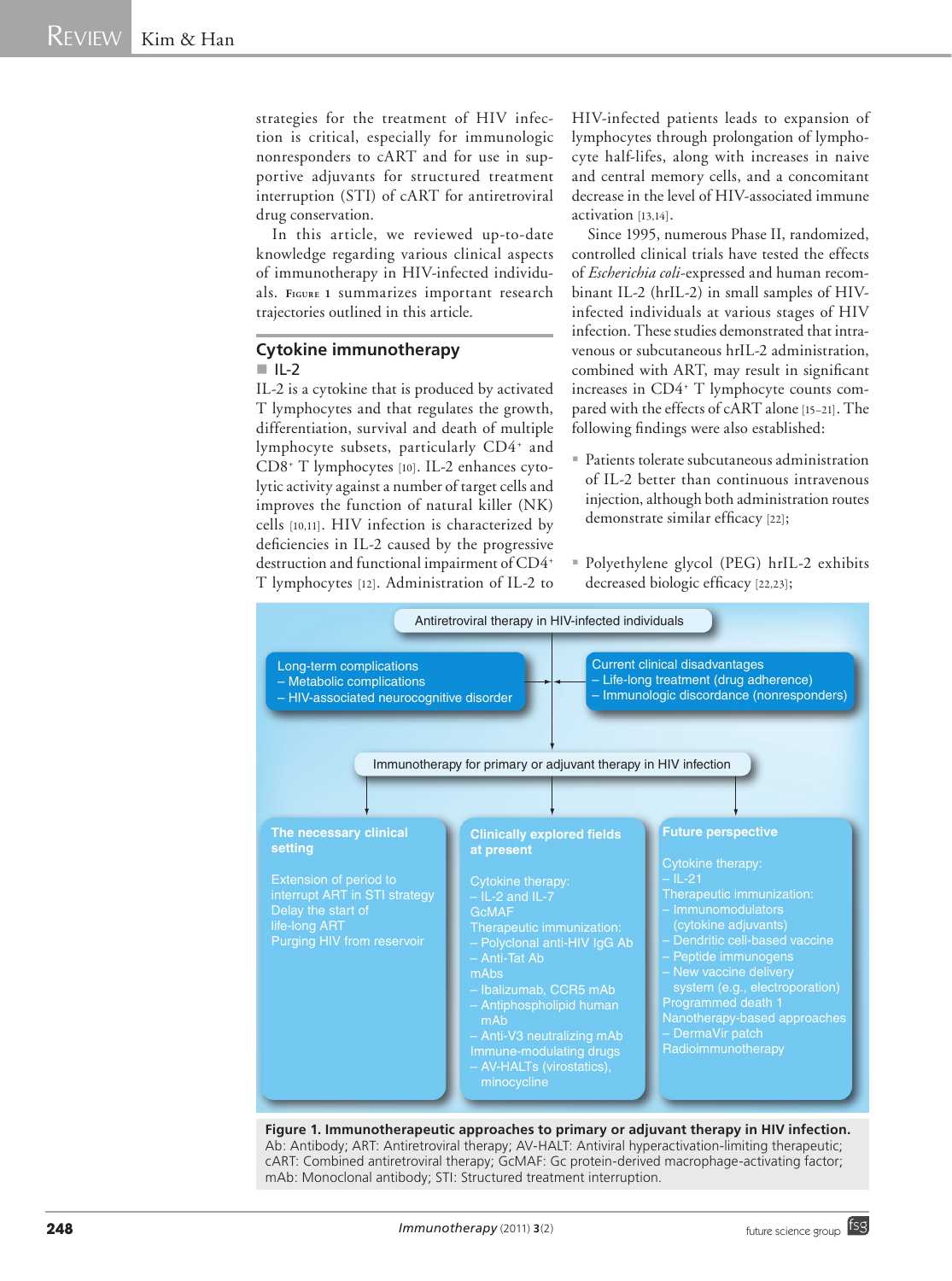strategies for the treatment of HIV infection is critical, especially for immunologic nonresponders to cART and for use in supportive adjuvants for structured treatment interruption (STI) of cART for antiretroviral drug conservation.

In this article, we reviewed up-to-date knowledge regarding various clinical aspects of immunotherapy in HIV-infected individuals. **Figure <sup>1</sup>** summarizes important research trajectories outlined in this article.

#### **Cytokine immunotherapy**   $\blacksquare$ IL-2

IL-2 is a cytokine that is produced by activated T lymphocytes and that regulates the growth, differentiation, survival and death of multiple lymphocyte subsets, particularly CD4<sup>+</sup> and CD8+ T lymphocytes [10]. IL-2 enhances cytolytic activity against a number of target cells and improves the function of natural killer (NK) cells [10,11]. HIV infection is characterized by deficiencies in IL-2 caused by the progressive destruction and functional impairment of CD4+ T lymphocytes [12]. Administration of IL-2 to

HIV-infected patients leads to expansion of lymphocytes through prolongation of lymphocyte half-lifes, along with increases in naive and central memory cells, and a concomitant decrease in the level of HIV-associated immune activation [13,14].

Since 1995, numerous Phase II, randomized, controlled clinical trials have tested the effects of *Escherichia coli*-expressed and human recombinant IL-2 (hrIL-2) in small samples of HIVinfected individuals at various stages of HIV infection. These studies demonstrated that intravenous or subcutaneous hrIL-2 administration, combined with ART, may result in significant increases in CD4+ T lymphocyte counts compared with the effects of cART alone [15–21]. The following findings were also established:

- Patients tolerate subcutaneous administration of IL-2 better than continuous intravenous injection, although both administration routes demonstrate similar efficacy [22];
- Polyethylene glycol (PEG) hrIL-2 exhibits decreased biologic efficacy [22,23];



**Figure 1. Immunotherapeutic approaches to primary or adjuvant therapy in HIV infection.** Ab: Antibody; ART: Antiretroviral therapy; AV-HALT: Antiviral hyperactivation-limiting therapeutic; cART: Combined antiretroviral therapy; GcMAF: Gc protein-derived macrophage-activating factor; mAb: Monoclonal antibody; STI: Structured treatment interruption.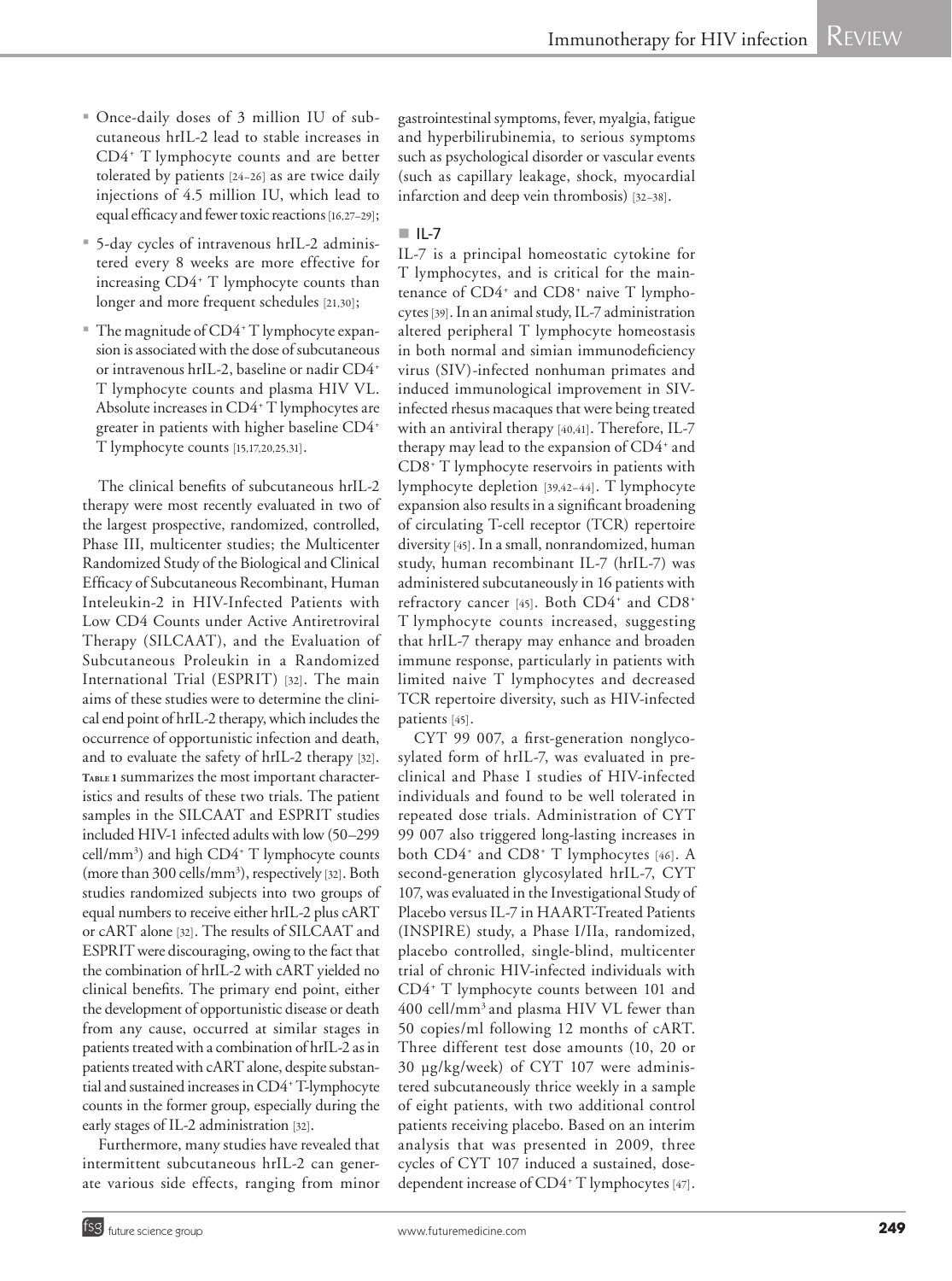- Once-daily doses of 3 million IU of subcutaneous hrIL-2 lead to stable increases in CD4+ T lymphocyte counts and are better tolerated by patients [24–26] as are twice daily injections of 4.5 million IU, which lead to equal efficacy and fewer toxic reactions [16,27–29];
- 5-day cycles of intravenous hrIL-2 administered every 8 weeks are more effective for increasing CD4+ T lymphocyte counts than longer and more frequent schedules [21,30];
- The magnitude of CD4<sup>+</sup> T lymphocyte expansion is associated with the dose of subcutaneous or intravenous hrIL-2, baseline or nadir CD4+ T lymphocyte counts and plasma HIV VL. Absolute increases in CD4+ T lymphocytes are greater in patients with higher baseline CD4+ T lymphocyte counts [15,17,20,25,31].

The clinical benefits of subcutaneous hrIL-2 therapy were most recently evaluated in two of the largest prospective, randomized, controlled, Phase III, multicenter studies; the Multicenter Randomized Study of the Biological and Clinical Efficacy of Subcutaneous Recombinant, Human Inteleukin-2 in HIV-Infected Patients with Low CD4 Counts under Active Antiretroviral Therapy (SILCAAT), and the Evaluation of Subcutaneous Proleukin in a Randomized International Trial (ESPRIT) [32]. The main aims of these studies were to determine the clinical end point of hrIL-2 therapy, which includes the occurrence of opportunistic infection and death, and to evaluate the safety of hrIL-2 therapy [32]. **Table <sup>1</sup>** summarizes the most important characteristics and results of these two trials. The patient samples in the SILCAAT and ESPRIT studies included HIV-1 infected adults with low (50–299 cell/mm3 ) and high CD4+ T lymphocyte counts (more than 300 cells/mm<sup>3</sup>), respectively [32]. Both studies randomized subjects into two groups of equal numbers to receive either hrIL-2 plus cART or cART alone [32]. The results of SILCAAT and ESPRIT were discouraging, owing to the fact that the combination of hrIL-2 with cART yielded no clinical benefits. The primary end point, either the development of opportunistic disease or death from any cause, occurred at similar stages in patients treated with a combination of hrIL-2 as in patients treated with cART alone, despite substantial and sustained increases in CD4+ T-lymphocyte counts in the former group, especially during the early stages of IL-2 administration [32].

Furthermore, many studies have revealed that intermittent subcutaneous hrIL-2 can generate various side effects, ranging from minor gastrointestinal symptoms, fever, myalgia, fatigue and hyperbilirubinemia, to serious symptoms such as psychological disorder or vascular events (such as capillary leakage, shock, myocardial infarction and deep vein thrombosis) [32–38].

### $\blacksquare$ IL-7

IL-7 is a principal homeostatic cytokine for T lymphocytes, and is critical for the maintenance of CD4<sup>+</sup> and CD8<sup>+</sup> naive T lymphocytes [39]. In an animal study, IL-7 administration altered peripheral T lymphocyte homeostasis in both normal and simian immunodeficiency virus (SIV)-infected nonhuman primates and induced immunological improvement in SIVinfected rhesus macaques that were being treated with an antiviral therapy [40,41]. Therefore, IL-7 therapy may lead to the expansion of CD4<sup>+</sup> and CD8+ T lymphocyte reservoirs in patients with lymphocyte depletion [39,42–44]. T lymphocyte expansion also results in a significant broadening of circulating T-cell receptor (TCR) repertoire diversity [45]. In a small, nonrandomized, human study, human recombinant IL-7 (hrIL-7) was administered subcutaneously in 16 patients with refractory cancer [45]. Both CD4<sup>+</sup> and CD8<sup>+</sup> T lymphocyte counts increased, suggesting that hrIL-7 therapy may enhance and broaden immune response, particularly in patients with limited naive T lymphocytes and decreased TCR repertoire diversity, such as HIV-infected patients [45].

CYT 99 007, a first-generation nonglycosylated form of hrIL-7, was evaluated in preclinical and Phase I studies of HIV-infected individuals and found to be well tolerated in repeated dose trials. Administration of CYT 99 007 also triggered long-lasting increases in both CD4+ and CD8+ T lymphocytes [46]. A second-generation glycosylated hrIL-7, CYT 107, was evaluated in the Investigational Study of Placebo versus IL-7 in HAART-Treated Patients (INSPIRE) study, a Phase I/IIa, randomized, placebo controlled, single-blind, multicenter trial of chronic HIV-infected individuals with CD4+ T lymphocyte counts between 101 and 400 cell/mm3 and plasma HIV VL fewer than 50 copies/ml following 12 months of cART. Three different test dose amounts (10, 20 or 30 µg/kg/week) of CYT 107 were administered subcutaneously thrice weekly in a sample of eight patients, with two additional control patients receiving placebo. Based on an interim analysis that was presented in 2009, three cycles of CYT 107 induced a sustained, dosedependent increase of CD4+ T lymphocytes [47].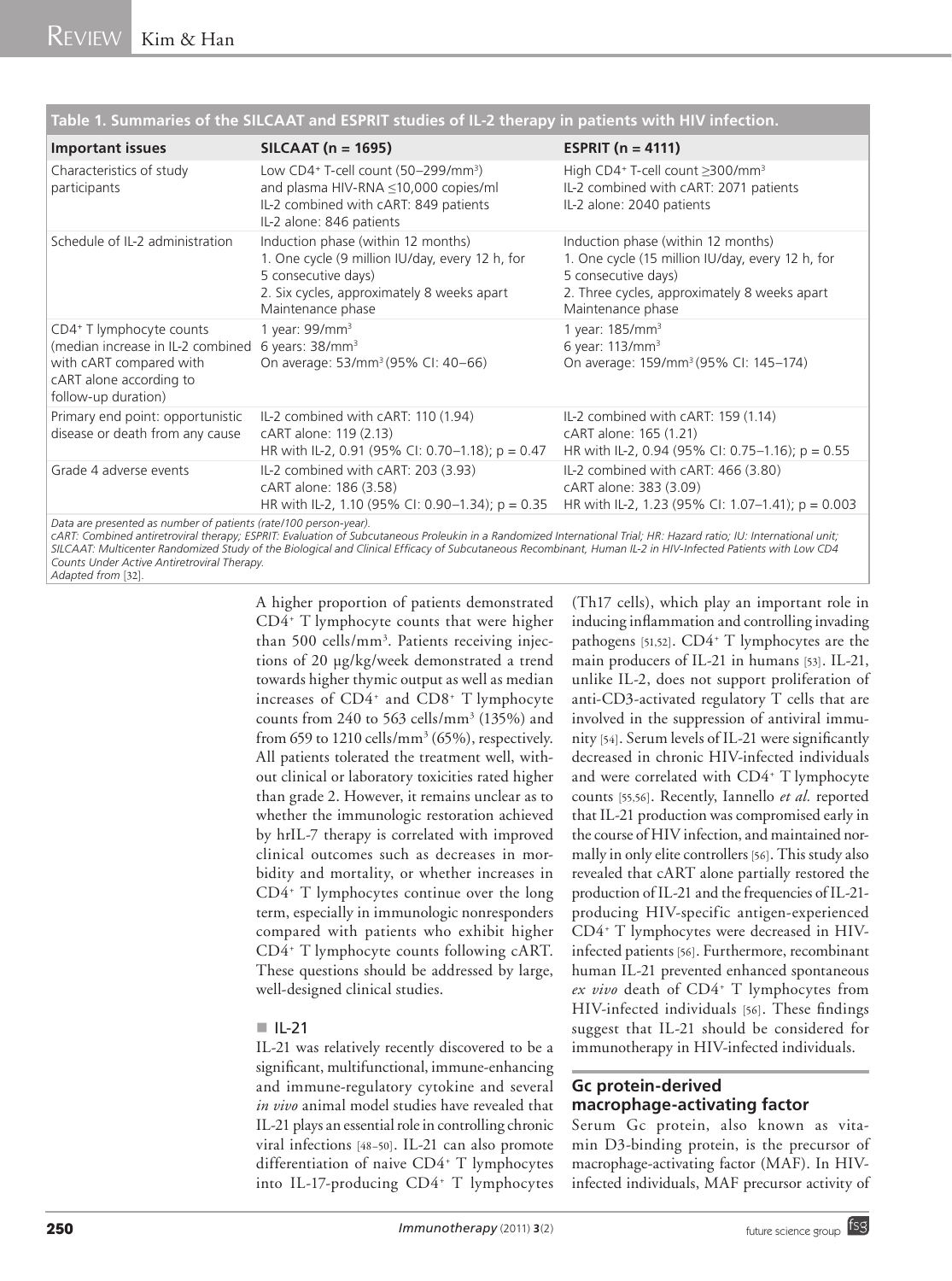| <b>Important issues</b>                                                                                                                                                | $SILCAAT$ (n = 1695)                                                                                                                                                            | <b>ESPRIT</b> ( $n = 4111$ )                                                                                                                                                       |  |
|------------------------------------------------------------------------------------------------------------------------------------------------------------------------|---------------------------------------------------------------------------------------------------------------------------------------------------------------------------------|------------------------------------------------------------------------------------------------------------------------------------------------------------------------------------|--|
| Characteristics of study<br>participants                                                                                                                               | Low CD4+ T-cell count (50-299/mm <sup>3</sup> )<br>and plasma HIV-RNA ≤10,000 copies/ml<br>IL-2 combined with cART: 849 patients<br>IL-2 alone: 846 patients                    | High CD4+ T-cell count ≥300/mm <sup>3</sup><br>IL-2 combined with cART: 2071 patients<br>IL-2 alone: 2040 patients                                                                 |  |
| Schedule of IL-2 administration                                                                                                                                        | Induction phase (within 12 months)<br>1. One cycle (9 million IU/day, every 12 h, for<br>5 consecutive days)<br>2. Six cycles, approximately 8 weeks apart<br>Maintenance phase | Induction phase (within 12 months)<br>1. One cycle (15 million IU/day, every 12 h, for<br>5 consecutive days)<br>2. Three cycles, approximately 8 weeks apart<br>Maintenance phase |  |
| CD4+ T lymphocyte counts<br>(median increase in IL-2 combined 6 years: 38/mm <sup>3</sup><br>with cART compared with<br>cART alone according to<br>follow-up duration) | 1 year: $99/mm3$<br>On average: 53/mm <sup>3</sup> (95% CI: 40-66)                                                                                                              | 1 year: $185/mm3$<br>6 year: 113/mm <sup>3</sup><br>On average: 159/mm <sup>3</sup> (95% CI: 145-174)                                                                              |  |
| Primary end point: opportunistic<br>disease or death from any cause                                                                                                    | IL-2 combined with cART: 110 (1.94)<br>cART alone: 119 (2.13)<br>HR with IL-2, 0.91 (95% CI: 0.70–1.18); p = 0.47                                                               | IL-2 combined with cART: 159 (1.14)<br>cART alone: 165 (1.21)<br>HR with IL-2, 0.94 (95% CI: 0.75-1.16); p = 0.55                                                                  |  |
| Grade 4 adverse events                                                                                                                                                 | IL-2 combined with cART: 203 (3.93)<br>cART alone: 186 (3.58)<br>HR with IL-2, 1.10 (95% CI: 0.90–1.34); $p = 0.35$                                                             | IL-2 combined with cART: 466 (3.80)<br>cART alone: 383 (3.09)<br>HR with IL-2, 1.23 (95% CI: 1.07-1.41); $p = 0.003$                                                               |  |
| Data are presented as number of patients (rate/100 person-year).                                                                                                       | cART: Combined antiretroviral therapy: ESPRIT: Evaluation of Subcutaneous Proleukin in a Randomized International Trial: HR: Hazard ratio: IU: International unit:              |                                                                                                                                                                                    |  |

**Table 1. Summaries of the SILCAAT and ESPRIT studies of IL-2 therapy in patients with HIV infection.**

*cART: Combined antiretroviral therapy; ESPRIT: Evaluation of Subcutaneous Proleukin in a Randomized International Trial; HR: Hazard ratio; IU: International unit; SILCAAT: Multicenter Randomized Study of the Biological and Clinical Efficacy of Subcutaneous Recombinant, Human IL-2 in HIV-Infected Patients with Low CD4 Counts Under Active Antiretroviral Therapy.* 

*Adapted from* [32]*.*

A higher proportion of patients demonstrated CD4+ T lymphocyte counts that were higher than 500 cells/mm<sup>3</sup>. Patients receiving injections of 20 µg/kg/week demonstrated a trend towards higher thymic output as well as median increases of CD4+ and CD8+ T lymphocyte counts from 240 to 563 cells/ $\text{mm}^3$  (135%) and from 659 to  $1210$  cells/mm<sup>3</sup> (65%), respectively. All patients tolerated the treatment well, without clinical or laboratory toxicities rated higher than grade 2. However, it remains unclear as to whether the immunologic restoration achieved by hrIL-7 therapy is correlated with improved clinical outcomes such as decreases in morbidity and mortality, or whether increases in CD4+ T lymphocytes continue over the long term, especially in immunologic nonresponders compared with patients who exhibit higher CD4+ T lymphocyte counts following cART. These questions should be addressed by large, well-designed clinical studies.

#### $\blacksquare$ IL-21

IL-21 was relatively recently discovered to be a significant, multifunctional, immune-enhancing and immune-regulatory cytokine and several *in vivo* animal model studies have revealed that IL-21 plays an essential role in controlling chronic viral infections [48–50]. IL-21 can also promote differentiation of naive CD4+ T lymphocytes into IL-17-producing CD4+ T lymphocytes (Th17 cells), which play an important role in inducing inflammation and controlling invading pathogens [51,52]. CD4<sup>+</sup> T lymphocytes are the main producers of IL-21 in humans [53]. IL-21, unlike IL-2, does not support proliferation of anti-CD3-activated regulatory T cells that are involved in the suppression of antiviral immunity [54]. Serum levels of IL-21 were significantly decreased in chronic HIV-infected individuals and were correlated with CD4+ T lymphocyte counts [55,56]. Recently, Iannello *et al.* reported that IL-21 production was compromised early in the course of HIV infection, and maintained normally in only elite controllers [56]. This study also revealed that cART alone partially restored the production of IL-21 and the frequencies of IL-21 producing HIV-specific antigen-experienced CD4+ T lymphocytes were decreased in HIVinfected patients [56]. Furthermore, recombinant human IL-21 prevented enhanced spontaneous ex vivo death of CD4<sup>+</sup> T lymphocytes from HIV-infected individuals [56]. These findings suggest that IL-21 should be considered for immunotherapy in HIV-infected individuals.

# **Gc protein-derived macrophage-activating factor**

Serum Gc protein, also known as vitamin D3-binding protein, is the precursor of macrophage-activating factor (MAF). In HIVinfected individuals, MAF precursor activity of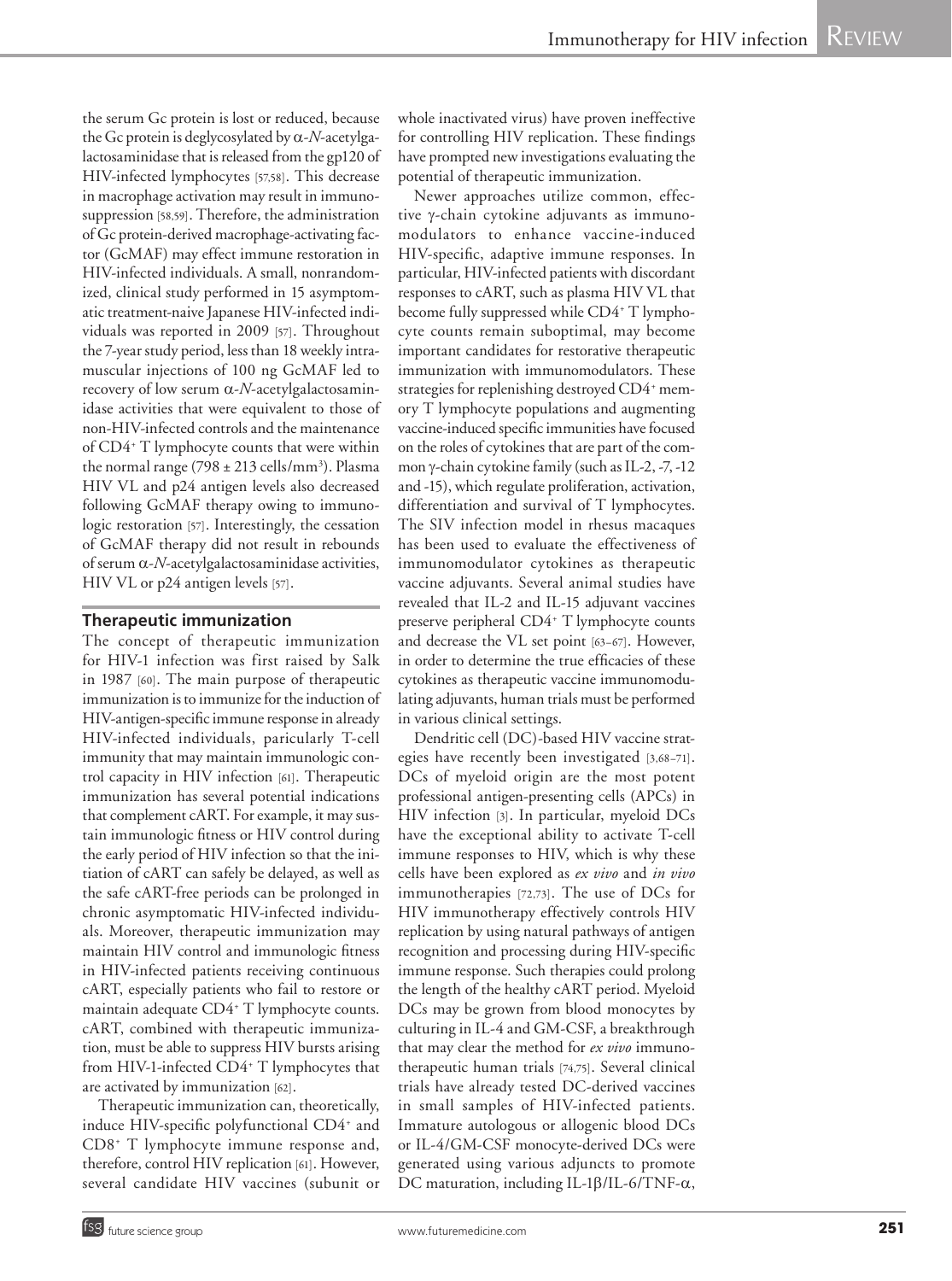the serum Gc protein is lost or reduced, because the Gc protein is deglycosylated by  $\alpha$ -*N*-acetylgalactosaminidase that is released from the gp120 of HIV-infected lymphocytes [57,58]. This decrease in macrophage activation may result in immunosuppression [58,59]. Therefore, the administration of Gc protein-derived macrophage-activating factor (GcMAF) may effect immune restoration in HIV-infected individuals. A small, nonrandomized, clinical study performed in 15 asymptomatic treatment-naive Japanese HIV-infected individuals was reported in 2009 [57]. Throughout the 7-year study period, less than 18 weekly intramuscular injections of 100 ng GcMAF led to recovery of low serum a-*N*-acetylgalactosaminidase activities that were equivalent to those of non-HIV-infected controls and the maintenance of CD4+ T lymphocyte counts that were within the normal range (798  $\pm$  213 cells/mm<sup>3</sup>). Plasma HIV VL and p24 antigen levels also decreased following GcMAF therapy owing to immunologic restoration [57]. Interestingly, the cessation of GcMAF therapy did not result in rebounds of serum  $\alpha$ -*N*-acetylgalactosaminidase activities, HIV VL or p24 antigen levels [57].

#### **Therapeutic immunization**

The concept of therapeutic immunization for HIV-1 infection was first raised by Salk in 1987 [60]. The main purpose of therapeutic immunization is to immunize for the induction of HIV-antigen-specific immune response in already HIV-infected individuals, paricularly T-cell immunity that may maintain immunologic control capacity in HIV infection [61]. Therapeutic immunization has several potential indications that complement cART. For example, it may sustain immunologic fitness or HIV control during the early period of HIV infection so that the initiation of cART can safely be delayed, as well as the safe cART-free periods can be prolonged in chronic asymptomatic HIV-infected individuals. Moreover, therapeutic immunization may maintain HIV control and immunologic fitness in HIV-infected patients receiving continuous cART, especially patients who fail to restore or maintain adequate CD4+ T lymphocyte counts. cART, combined with therapeutic immunization, must be able to suppress HIV bursts arising from HIV-1-infected CD4+ T lymphocytes that are activated by immunization [62].

Therapeutic immunization can, theoretically, induce HIV-specific polyfunctional CD4<sup>+</sup> and CD8+ T lymphocyte immune response and, therefore, control HIV replication [61]. However, several candidate HIV vaccines (subunit or

whole inactivated virus) have proven ineffective for controlling HIV replication. These findings have prompted new investigations evaluating the potential of therapeutic immunization.

Newer approaches utilize common, effective g-chain cytokine adjuvants as immunomodulators to enhance vaccine-induced HIV-specific, adaptive immune responses. In particular, HIV-infected patients with discordant responses to cART, such as plasma HIV VL that become fully suppressed while CD4<sup>+</sup> T lymphocyte counts remain suboptimal, may become important candidates for restorative therapeutic immunization with immunomodulators. These strategies for replenishing destroyed CD4+ memory T lymphocyte populations and augmenting vaccine-induced specific immunities have focused on the roles of cytokines that are part of the common γ-chain cytokine family (such as IL-2, -7, -12 and -15), which regulate proliferation, activation, differentiation and survival of T lymphocytes. The SIV infection model in rhesus macaques has been used to evaluate the effectiveness of immunomodulator cytokines as therapeutic vaccine adjuvants. Several animal studies have revealed that IL-2 and IL-15 adjuvant vaccines preserve peripheral CD4+ T lymphocyte counts and decrease the VL set point [63–67]. However, in order to determine the true efficacies of these cytokines as therapeutic vaccine immunomodulating adjuvants, human trials must be performed in various clinical settings.

Dendritic cell (DC)-based HIV vaccine strategies have recently been investigated [3,68–71]. DCs of myeloid origin are the most potent professional antigen-presenting cells (APCs) in HIV infection [3]. In particular, myeloid DCs have the exceptional ability to activate T-cell immune responses to HIV, which is why these cells have been explored as *ex vivo* and *in vivo* immunotherapies [72,73]. The use of DCs for HIV immunotherapy effectively controls HIV replication by using natural pathways of antigen recognition and processing during HIV-specific immune response. Such therapies could prolong the length of the healthy cART period. Myeloid DCs may be grown from blood monocytes by culturing in IL-4 and GM-CSF, a breakthrough that may clear the method for *ex vivo* immunotherapeutic human trials [74,75]. Several clinical trials have already tested DC-derived vaccines in small samples of HIV-infected patients. Immature autologous or allogenic blood DCs or IL-4/GM-CSF monocyte-derived DCs were generated using various adjuncts to promote DC maturation, including IL-1 $\beta$ /IL-6/TNF- $\alpha$ ,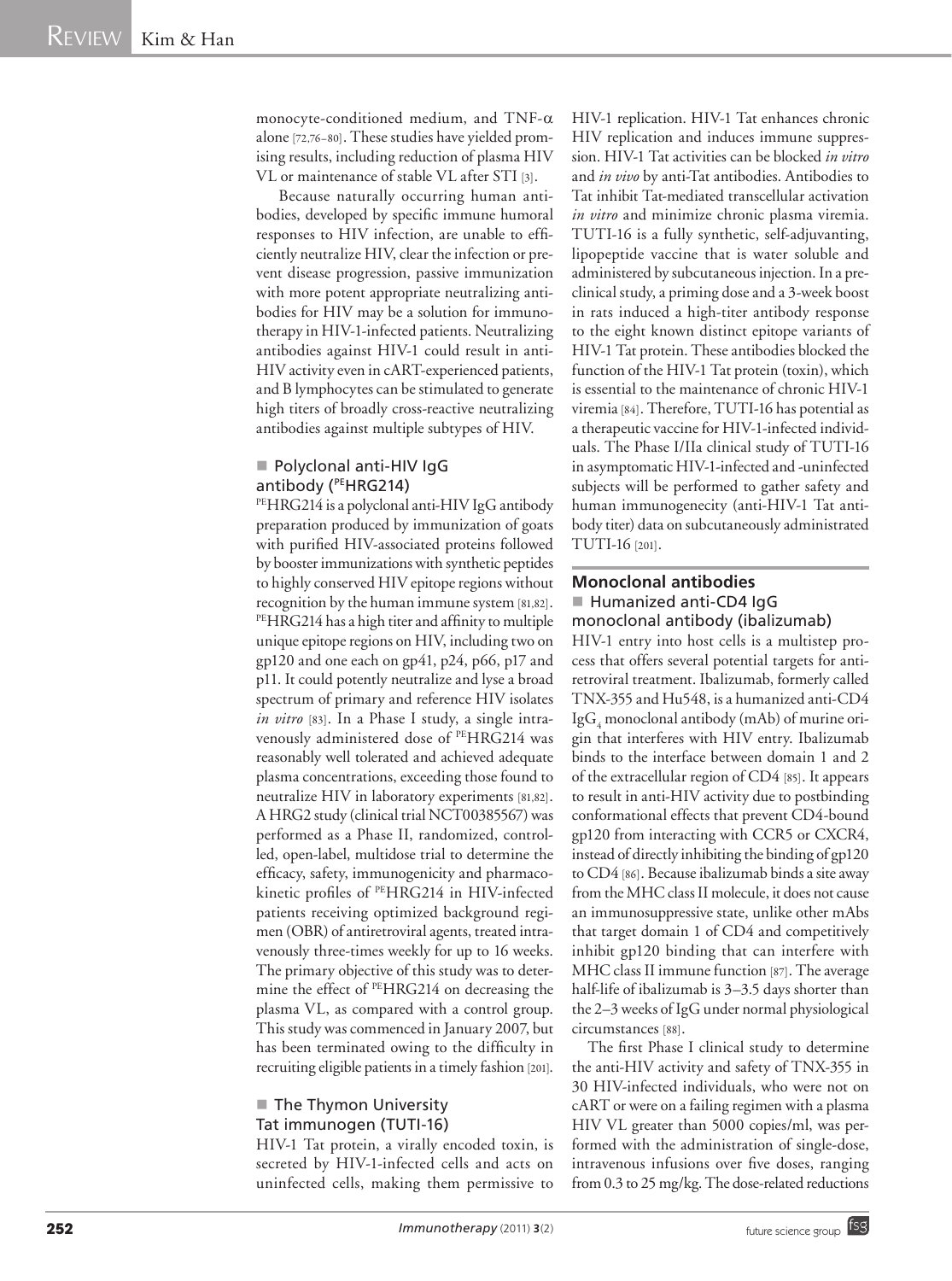monocyte-conditioned medium, and TNF- $\alpha$ alone[72,76–80]. These studies have yielded promising results, including reduction of plasma HIV VL or maintenance of stable VL after STI [3].

 Because naturally occurring human antibodies, developed by specific immune humoral responses to HIV infection, are unable to efficiently neutralize HIV, clear the infection or prevent disease progression, passive immunization with more potent appropriate neutralizing antibodies for HIV may be a solution for immunotherapy in HIV-1-infected patients. Neutralizing antibodies against HIV-1 could result in anti-HIV activity even in cART-experienced patients, and B lymphocytes can be stimulated to generate high titers of broadly cross-reactive neutralizing antibodies against multiple subtypes of HIV.

# **Polyclonal anti-HIV IgG** antibody (PEHRG214)

PEHRG214 is a polyclonal anti-HIV IgG antibody preparation produced by immunization of goats with purified HIV-associated proteins followed by booster immunizations with synthetic peptides to highly conserved HIV epitope regions without recognition by the human immune system [81,82].<br><sup>PE</sup>HRG214 has a high titer and affinity to multiple unique epitope regions on HIV, including two on gp120 and one each on gp41, p24, p66, p17 and p11. It could potently neutralize and lyse a broad spectrum of primary and reference HIV isolates *in vitro* [83]. In a Phase I study, a single intravenously administered dose of PEHRG214 was reasonably well tolerated and achieved adequate plasma concentrations, exceeding those found to neutralize HIV in laboratory experiments [81,82]. A HRG2 study (clinical trial NCT00385567) was performed as a Phase II, randomized, controlled, open-label, multidose trial to determine the efficacy, safety, immunogenicity and pharmacokinetic profiles of PEHRG214 in HIV-infected patients receiving optimized background regimen (OBR) of antiretroviral agents, treated intravenously three-times weekly for up to 16 weeks. The primary objective of this study was to determine the effect of PEHRG214 on decreasing the plasma VL, as compared with a control group. This study was commenced in January 2007, but has been terminated owing to the difficulty in recruiting eligible patients in a timely fashion [201].

# ■ The Thymon University Tat immunogen (TUTI-16)

HIV-1 Tat protein, a virally encoded toxin, is secreted by HIV-1-infected cells and acts on uninfected cells, making them permissive to HIV-1 replication. HIV-1 Tat enhances chronic HIV replication and induces immune suppression. HIV-1 Tat activities can be blocked *in vitro* and *in vivo* by anti-Tat antibodies. Antibodies to Tat inhibit Tat-mediated transcellular activation *in vitro* and minimize chronic plasma viremia. TUTI-16 is a fully synthetic, self-adjuvanting, lipopeptide vaccine that is water soluble and administered by subcutaneous injection. In a preclinical study, a priming dose and a 3-week boost in rats induced a high-titer antibody response to the eight known distinct epitope variants of HIV-1 Tat protein. These antibodies blocked the function of the HIV-1 Tat protein (toxin), which is essential to the maintenance of chronic HIV-1 viremia [84]. Therefore, TUTI-16 has potential as a therapeutic vaccine for HIV-1-infected individuals. The Phase I/IIa clinical study of TUTI-16 in asymptomatic HIV-1-infected and -uninfected subjects will be performed to gather safety and human immunogenecity (anti-HIV-1 Tat antibody titer) data on subcutaneously administrated TUTI-16 [201].

# **Monoclonal antibodies** ■ Humanized anti-CD4 IqG monoclonal antibody (ibalizumab)

HIV-1 entry into host cells is a multistep process that offers several potential targets for antiretroviral treatment. Ibalizumab, formerly called TNX-355 and Hu548, is a humanized anti-CD4  $\mathrm{IgG}_{4}$  monoclonal antibody (mAb) of murine origin that interferes with HIV entry. Ibalizumab binds to the interface between domain 1 and 2 of the extracellular region of CD4 [85]. It appears to result in anti-HIV activity due to postbinding conformational effects that prevent CD4-bound gp120 from interacting with CCR5 or CXCR4, instead of directly inhibiting the binding of gp120 to CD4 [86]. Because ibalizumab binds a site away from the MHC class II molecule, it does not cause an immunosuppressive state, unlike other mAbs that target domain 1 of CD4 and competitively inhibit gp120 binding that can interfere with MHC class II immune function [87]. The average half-life of ibalizumab is 3-3.5 days shorter than the 2–3 weeks of IgG under normal physiological circumstances [88].

The first Phase I clinical study to determine the anti-HIV activity and safety of TNX-355 in 30 HIV-infected individuals, who were not on cART or were on a failing regimen with a plasma HIV VL greater than 5000 copies/ml, was performed with the administration of single-dose, intravenous infusions over five doses, ranging from 0.3 to 25 mg/kg. The dose-related reductions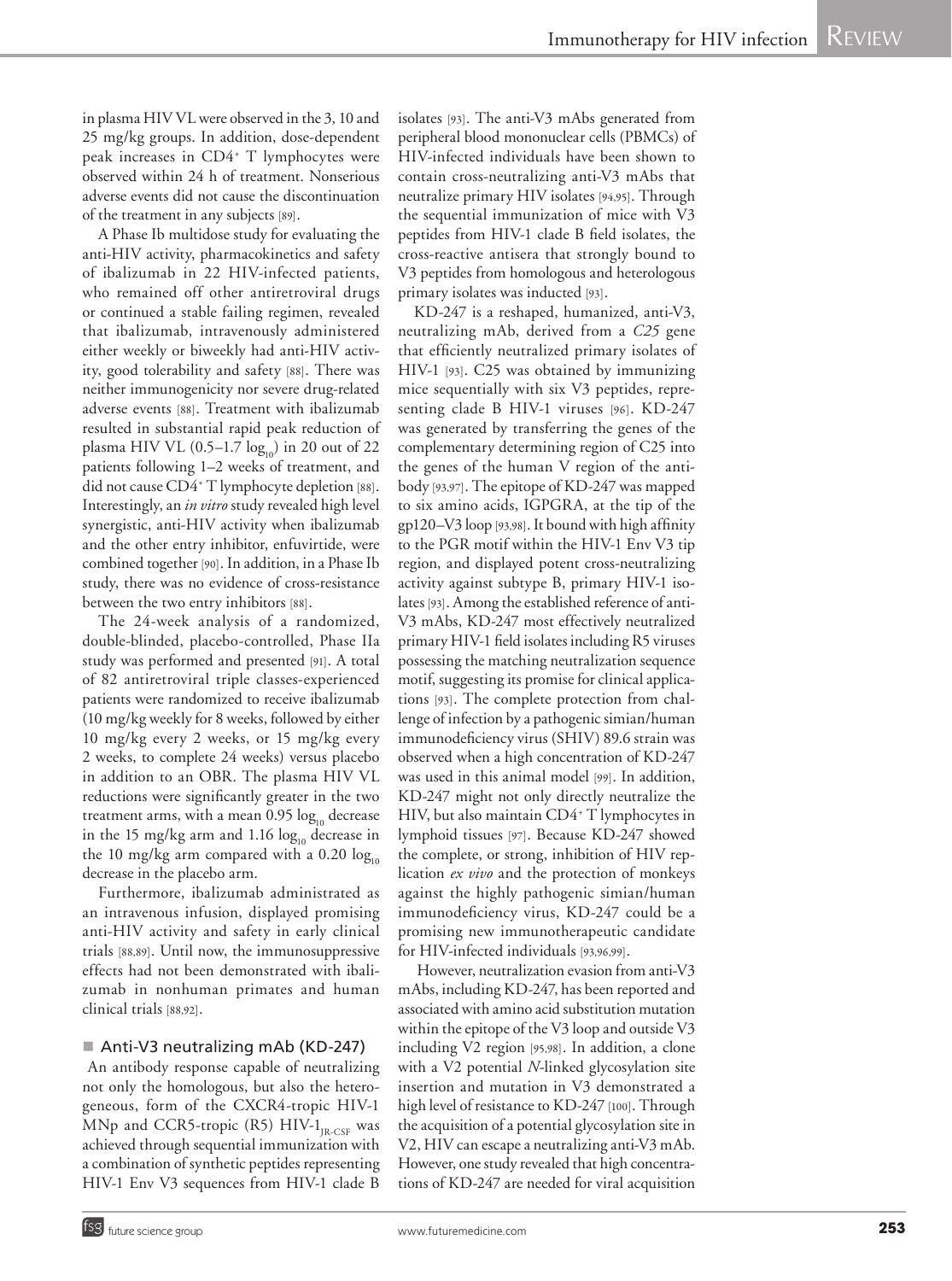in plasma HIV VL were observed in the 3, 10 and 25 mg/kg groups. In addition, dose-dependent peak increases in CD4+ T lymphocytes were observed within 24 h of treatment. Nonserious adverse events did not cause the discontinuation of the treatment in any subjects [89].

A Phase Ib multidose study for evaluating the anti-HIV activity, pharmacokinetics and safety of ibalizumab in 22 HIV-infected patients, who remained off other antiretroviral drugs or continued a stable failing regimen, revealed that ibalizumab, intravenously administered either weekly or biweekly had anti-HIV activity, good tolerability and safety [88]. There was neither immunogenicity nor severe drug-related adverse events [88]. Treatment with ibalizumab resulted in substantial rapid peak reduction of plasma HIV VL  $(0.5-1.7 \log_{10})$  in 20 out of 22 patients following 1–2 weeks of treatment, and did not cause CD4+ T lymphocyte depletion [88]. Interestingly, an *in vitro* study revealed high level synergistic, anti-HIV activity when ibalizumab and the other entry inhibitor, enfuvirtide, were combined together [90]. In addition, in a Phase Ib study, there was no evidence of cross-resistance between the two entry inhibitors [88].

The 24-week analysis of a randomized, double-blinded, placebo-controlled, Phase IIa study was performed and presented [91]. A total of 82 antiretroviral triple classes-experienced patients were randomized to receive ibalizumab (10 mg/kg weekly for 8 weeks, followed by either 10 mg/kg every 2 weeks, or 15 mg/kg every 2 weeks, to complete 24 weeks) versus placebo in addition to an OBR. The plasma HIV VL reductions were significantly greater in the two treatment arms, with a mean  $0.95 \log_{10}$  decrease in the 15 mg/kg arm and 1.16  $log_{10}$  decrease in the 10 mg/kg arm compared with a 0.20  $log_{10}$ decrease in the placebo arm.

Furthermore, ibalizumab administrated as an intravenous infusion, displayed promising anti-HIV activity and safety in early clinical trials [88,89]. Until now, the immunosuppressive effects had not been demonstrated with ibalizumab in nonhuman primates and human clinical trials [88,92].

#### ■ Anti-V3 neutralizing mAb (KD-247)

 An antibody response capable of neutralizing not only the homologous, but also the heterogeneous, form of the CXCR4-tropic HIV-1 MNp and CCR5-tropic (R5)  $HIV-1_{IR-CSF}$  was achieved through sequential immunization with a combination of synthetic peptides representing HIV-1 Env V3 sequences from HIV-1 clade B isolates [93]. The anti-V3 mAbs generated from peripheral blood mononuclear cells (PBMCs) of HIV-infected individuals have been shown to contain cross-neutralizing anti-V3 mAbs that neutralize primary HIV isolates [94,95]. Through the sequential immunization of mice with V3 peptides from HIV-1 clade B field isolates, the cross-reactive antisera that strongly bound to V3 peptides from homologous and heterologous primary isolates was inducted [93].

KD-247 is a reshaped, humanized, anti-V3, neutralizing mAb, derived from a *C25* gene that efficiently neutralized primary isolates of HIV-1 [93]. C25 was obtained by immunizing mice sequentially with six V3 peptides, representing clade B HIV-1 viruses [96]. KD-247 was generated by transferring the genes of the complementary determining region of C25 into the genes of the human V region of the antibody [93,97]. The epitope of KD-247 was mapped to six amino acids, IGPGRA, at the tip of the gp120–V3 loop [93,98]. It bound with high affinity to the PGR motif within the HIV-1 Env V3 tip region, and displayed potent cross-neutralizing activity against subtype B, primary HIV-1 isolates [93]. Among the established reference of anti-V3 mAbs, KD-247 most effectively neutralized primary HIV-1 field isolates including R5 viruses possessing the matching neutralization sequence motif, suggesting its promise for clinical applications [93]. The complete protection from challenge of infection by a pathogenic simian/human immunodeficiency virus (SHIV) 89.6 strain was observed when a high concentration of KD-247 was used in this animal model [99]. In addition, KD-247 might not only directly neutralize the HIV, but also maintain CD4+ T lymphocytes in lymphoid tissues [97]. Because KD-247 showed the complete, or strong, inhibition of HIV replication *ex vivo* and the protection of monkeys against the highly pathogenic simian/human immunodeficiency virus, KD-247 could be a promising new immunotherapeutic candidate for HIV-infected individuals [93,96,99].

 However, neutralization evasion from anti-V3 mAbs, including KD-247, has been reported and associated with amino acid substitution mutation within the epitope of the V3 loop and outside V3 including V2 region [95,98]. In addition, a clone with a V2 potential *N*-linked glycosylation site insertion and mutation in V3 demonstrated a high level of resistance to KD-247 [100]. Through the acquisition of a potential glycosylation site in V2, HIV can escape a neutralizing anti-V3 mAb. However, one study revealed that high concentrations of KD-247 are needed for viral acquisition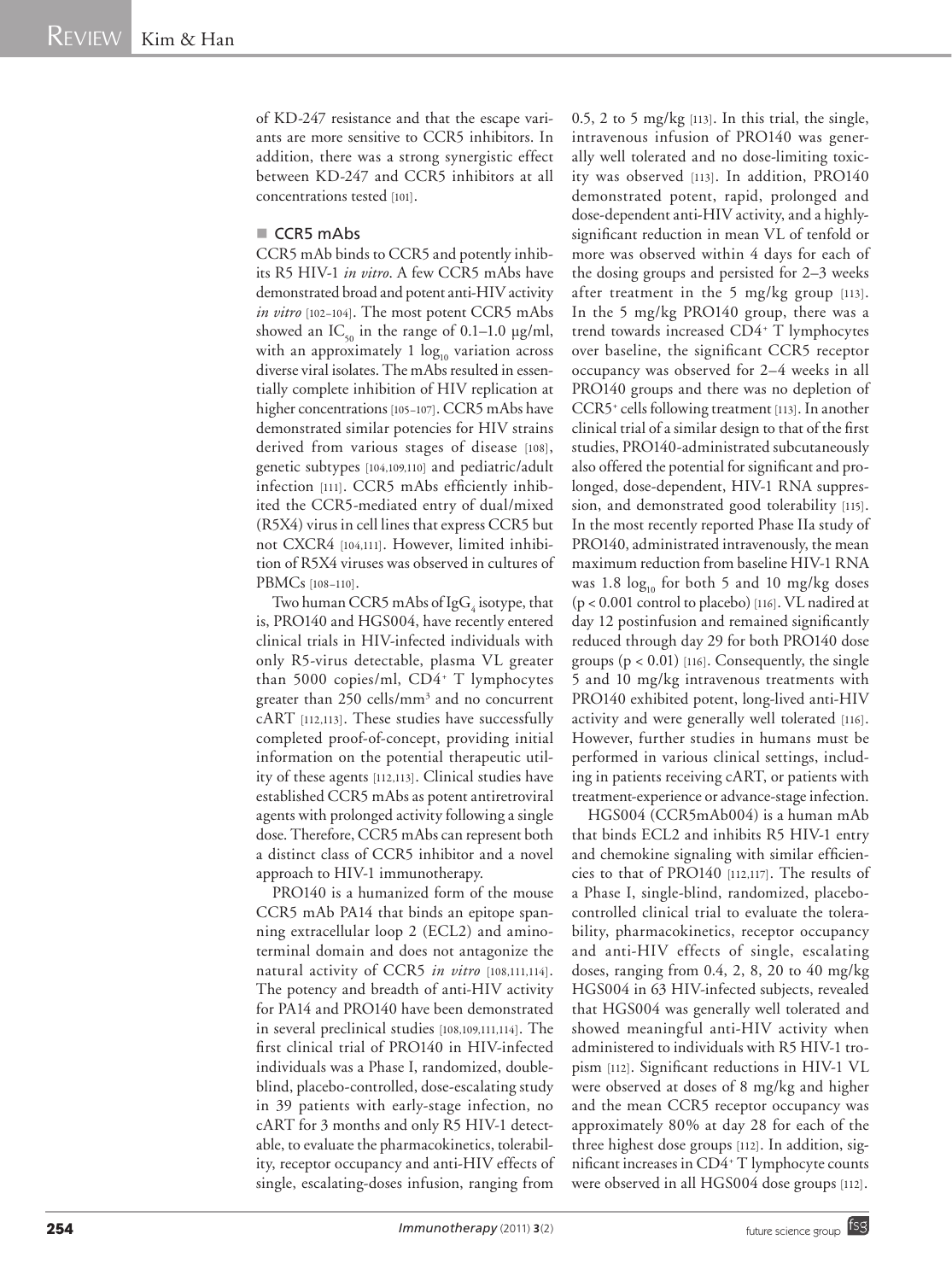of KD-247 resistance and that the escape variants are more sensitive to CCR5 inhibitors. In addition, there was a strong synergistic effect between KD-247 and CCR5 inhibitors at all concentrations tested [101].

#### CCR5 mAbs

CCR5 mAb binds to CCR5 and potently inhibits R5 HIV-1 *in vitro*. A few CCR5 mAbs have demonstrated broad and potent anti-HIV activity *in vitro* [102–104]. The most potent CCR5 mAbs showed an  $IC_{50}$  in the range of 0.1–1.0 µg/ml, with an approximately  $1 \log_{10}$  variation across diverse viral isolates. The mAbs resulted in essentially complete inhibition of HIV replication at higher concentrations [105-107]. CCR5 mAbs have demonstrated similar potencies for HIV strains derived from various stages of disease [108], genetic subtypes [104,109,110] and pediatric/adult infection [111]. CCR5 mAbs efficiently inhibited the CCR5-mediated entry of dual/mixed (R5X4) virus in cell lines that express CCR5 but not CXCR4 [104,111]. However, limited inhibition of R5X4 viruses was observed in cultures of PBMCs [108–110].

Two human CCR5 mAbs of IgG  $_4^{\,}$  isotype, that is, PRO140 and HGS004, have recently entered clinical trials in HIV-infected individuals with only R5-virus detectable, plasma VL greater than 5000 copies/ml, CD4+ T lymphocytes greater than 250 cells/mm<sup>3</sup> and no concurrent cART [112,113]. These studies have successfully completed proof-of-concept, providing initial information on the potential therapeutic utility of these agents [112,113]. Clinical studies have established CCR5 mAbs as potent antiretroviral agents with prolonged activity following a single dose. Therefore, CCR5 mAbs can represent both a distinct class of CCR5 inhibitor and a novel approach to HIV-1 immunotherapy.

PRO140 is a humanized form of the mouse CCR5 mAb PA14 that binds an epitope spanning extracellular loop 2 (ECL2) and aminoterminal domain and does not antagonize the natural activity of CCR5 *in vitro* [108,111,114]. The potency and breadth of anti-HIV activity for PA14 and PRO140 have been demonstrated in several preclinical studies [108,109,111,114]. The first clinical trial of PRO140 in HIV-infected individuals was a Phase I, randomized, doubleblind, placebo-controlled, dose-escalating study in 39 patients with early-stage infection, no cART for 3 months and only R5 HIV-1 detectable, to evaluate the pharmacokinetics, tolerability, receptor occupancy and anti-HIV effects of single, escalating-doses infusion, ranging from  $0.5$ ,  $2$  to  $5$  mg/kg  $[113]$ . In this trial, the single, intravenous infusion of PRO140 was generally well tolerated and no dose-limiting toxicity was observed [113]. In addition, PRO140 demonstrated potent, rapid, prolonged and dose-dependent anti-HIV activity, and a highlysignificant reduction in mean VL of tenfold or more was observed within 4 days for each of the dosing groups and persisted for 2–3 weeks after treatment in the 5 mg/kg group [113]. In the 5 mg/kg PRO140 group, there was a trend towards increased CD4+ T lymphocytes over baseline, the significant CCR5 receptor occupancy was observed for 2–4 weeks in all PRO140 groups and there was no depletion of CCR5+ cells following treatment [113]. In another clinical trial of a similar design to that of the first studies, PRO140-administrated subcutaneously also offered the potential for significant and prolonged, dose-dependent, HIV-1 RNA suppression, and demonstrated good tolerability [115]. In the most recently reported Phase IIa study of PRO140, administrated intravenously, the mean maximum reduction from baseline HIV-1 RNA was 1.8  $log_{10}$  for both 5 and 10 mg/kg doses (p < 0.001 control to placebo) [116]. VL nadired at day 12 postinfusion and remained significantly reduced through day 29 for both PRO140 dose groups  $(p < 0.01)$  [116]. Consequently, the single 5 and 10 mg/kg intravenous treatments with PRO140 exhibited potent, long-lived anti-HIV activity and were generally well tolerated [116]. However, further studies in humans must be performed in various clinical settings, including in patients receiving cART, or patients with treatment-experience or advance-stage infection.

HGS004 (CCR5mAb004) is a human mAb that binds ECL2 and inhibits R5 HIV-1 entry and chemokine signaling with similar efficiencies to that of PRO140 [112,117]. The results of a Phase I, single-blind, randomized, placebocontrolled clinical trial to evaluate the tolerability, pharmacokinetics, receptor occupancy and anti-HIV effects of single, escalating doses, ranging from 0.4, 2, 8, 20 to 40 mg/kg HGS004 in 63 HIV-infected subjects, revealed that HGS004 was generally well tolerated and showed meaningful anti-HIV activity when administered to individuals with R5 HIV-1 tropism [112]. Significant reductions in HIV-1 VL were observed at doses of 8 mg/kg and higher and the mean CCR5 receptor occupancy was approximately 80% at day 28 for each of the three highest dose groups [112]. In addition, significant increases in CD4+ T lymphocyte counts were observed in all HGS004 dose groups [112].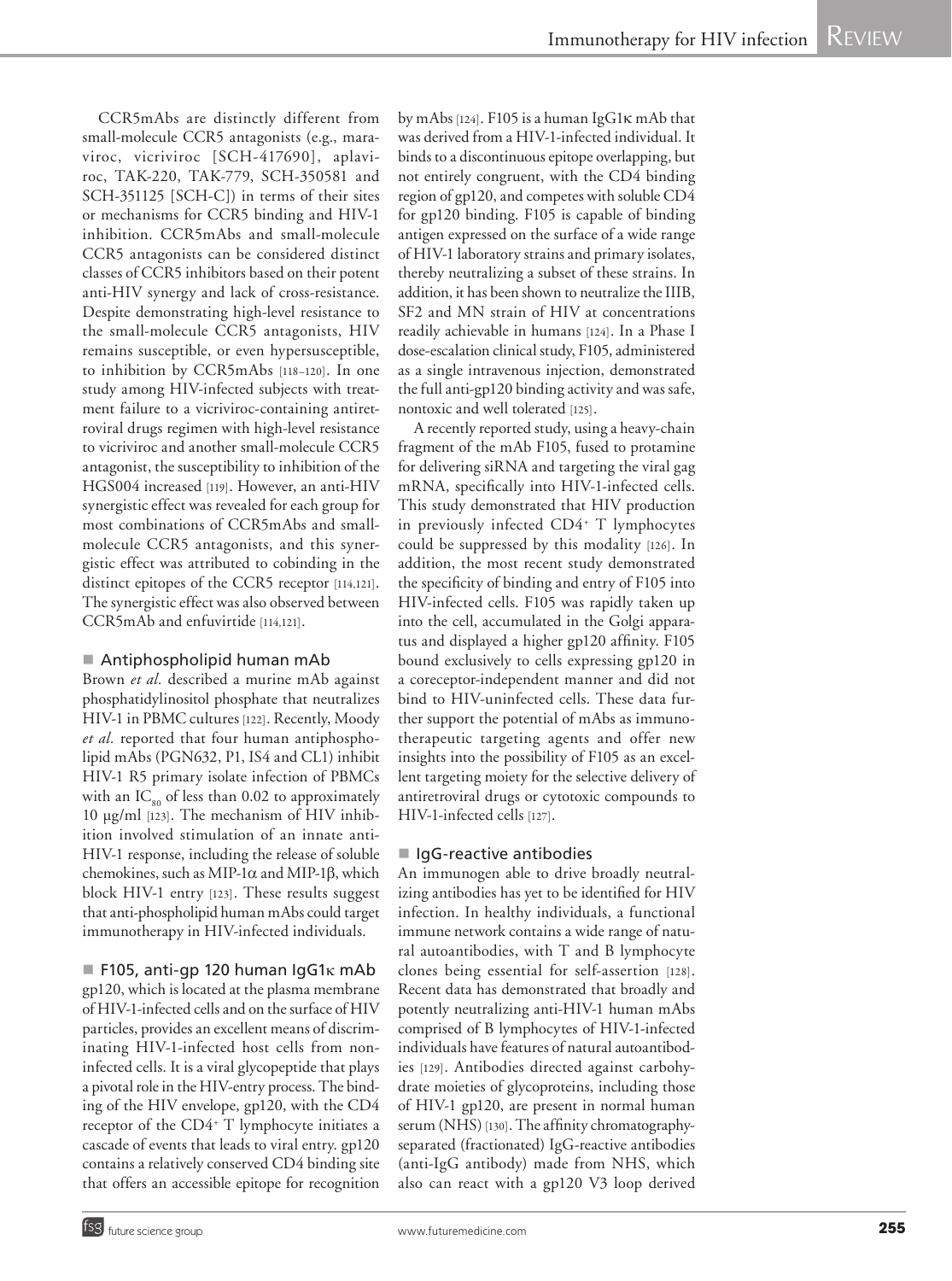CCR5mAbs are distinctly different from small-molecule CCR5 antagonists (e.g., maraviroc, vicriviroc [SCH-417690], aplaviroc, TAK-220, TAK-779, SCH-350581 and SCH-351125 [SCH-C]) in terms of their sites or mechanisms for CCR5 binding and HIV-1 inhibition. CCR5mAbs and small-molecule CCR5 antagonists can be considered distinct classes of CCR5 inhibitors based on their potent anti-HIV synergy and lack of cross-resistance. Despite demonstrating high-level resistance to the small-molecule CCR5 antagonists, HIV remains susceptible, or even hypersusceptible, to inhibition by CCR5mAbs [118–120]. In one study among HIV-infected subjects with treatment failure to a vicriviroc-containing antiretroviral drugs regimen with high-level resistance to vicriviroc and another small-molecule CCR5 antagonist, the susceptibility to inhibition of the HGS004 increased [119]. However, an anti-HIV synergistic effect was revealed for each group for most combinations of CCR5mAbs and smallmolecule CCR5 antagonists, and this synergistic effect was attributed to cobinding in the distinct epitopes of the CCR5 receptor [114,121]. The synergistic effect was also observed between CCR5mAb and enfuvirtide [114,121].

#### ■ Antiphospholipid human mAb

Brown *et al.* described a murine mAb against phosphatidylinositol phosphate that neutralizes HIV-1 in PBMC cultures [122]. Recently, Moody *et al.* reported that four human antiphospholipid mAbs (PGN632, P1, IS4 and CL1) inhibit HIV-1 R5 primary isolate infection of PBMCs with an  $IC_{\alpha0}$  of less than 0.02 to approximately 10 µg/ml [123]. The mechanism of HIV inhibition involved stimulation of an innate anti-HIV-1 response, including the release of soluble chemokines, such as MIP-1 $\alpha$  and MIP-1 $\beta$ , which block HIV-1 entry [123]. These results suggest that anti-phospholipid human mAbs could target immunotherapy in HIV-infected individuals.

F105, anti-gp 120 human IgG1 $\kappa$  mAb gp120, which is located at the plasma membrane of HIV-1-infected cells and on the surface of HIV particles, provides an excellent means of discriminating HIV-1-infected host cells from noninfected cells. It is a viral glycopeptide that plays a pivotal role in the HIV-entry process. The binding of the HIV envelope, gp120, with the CD4 receptor of the CD4+ T lymphocyte initiates a cascade of events that leads to viral entry. gp120 contains a relatively conserved CD4 binding site that offers an accessible epitope for recognition

by mAbs [124]. F105 is a human IgG1k mAb that was derived from a HIV-1-infected individual. It binds to a discontinuous epitope overlapping, but not entirely congruent, with the CD4 binding region of gp120, and competes with soluble CD4 for gp120 binding. F105 is capable of binding antigen expressed on the surface of a wide range of HIV-1 laboratory strains and primary isolates, thereby neutralizing a subset of these strains. In addition, it has been shown to neutralize the IIIB, SF2 and MN strain of HIV at concentrations readily achievable in humans [124]. In a Phase I dose-escalation clinical study, F105, administered as a single intravenous injection, demonstrated the full anti-gp120 binding activity and was safe, nontoxic and well tolerated [125].

A recently reported study, using a heavy-chain fragment of the mAb F105, fused to protamine for delivering siRNA and targeting the viral gag mRNA, specifically into HIV-1-infected cells. This study demonstrated that HIV production in previously infected CD4+ T lymphocytes could be suppressed by this modality [126]. In addition, the most recent study demonstrated the specificity of binding and entry of F105 into HIV-infected cells. F105 was rapidly taken up into the cell, accumulated in the Golgi apparatus and displayed a higher gp120 affinity. F105 bound exclusively to cells expressing gp120 in a coreceptor-independent manner and did not bind to HIV-uninfected cells. These data further support the potential of mAbs as immunotherapeutic targeting agents and offer new insights into the possibility of F105 as an excellent targeting moiety for the selective delivery of antiretroviral drugs or cytotoxic compounds to HIV-1-infected cells [127].

#### ■ IgG-reactive antibodies

An immunogen able to drive broadly neutralizing antibodies has yet to be identified for HIV infection. In healthy individuals, a functional immune network contains a wide range of natural autoantibodies, with T and B lymphocyte clones being essential for self-assertion [128]. Recent data has demonstrated that broadly and potently neutralizing anti-HIV-1 human mAbs comprised of B lymphocytes of HIV-1-infected individuals have features of natural autoantibodies [129]. Antibodies directed against carbohydrate moieties of glycoproteins, including those of HIV-1 gp120, are present in normal human serum (NHS) [130]. The affinity chromatographyseparated (fractionated) IgG-reactive antibodies (anti-IgG antibody) made from NHS, which also can react with a gp120 V3 loop derived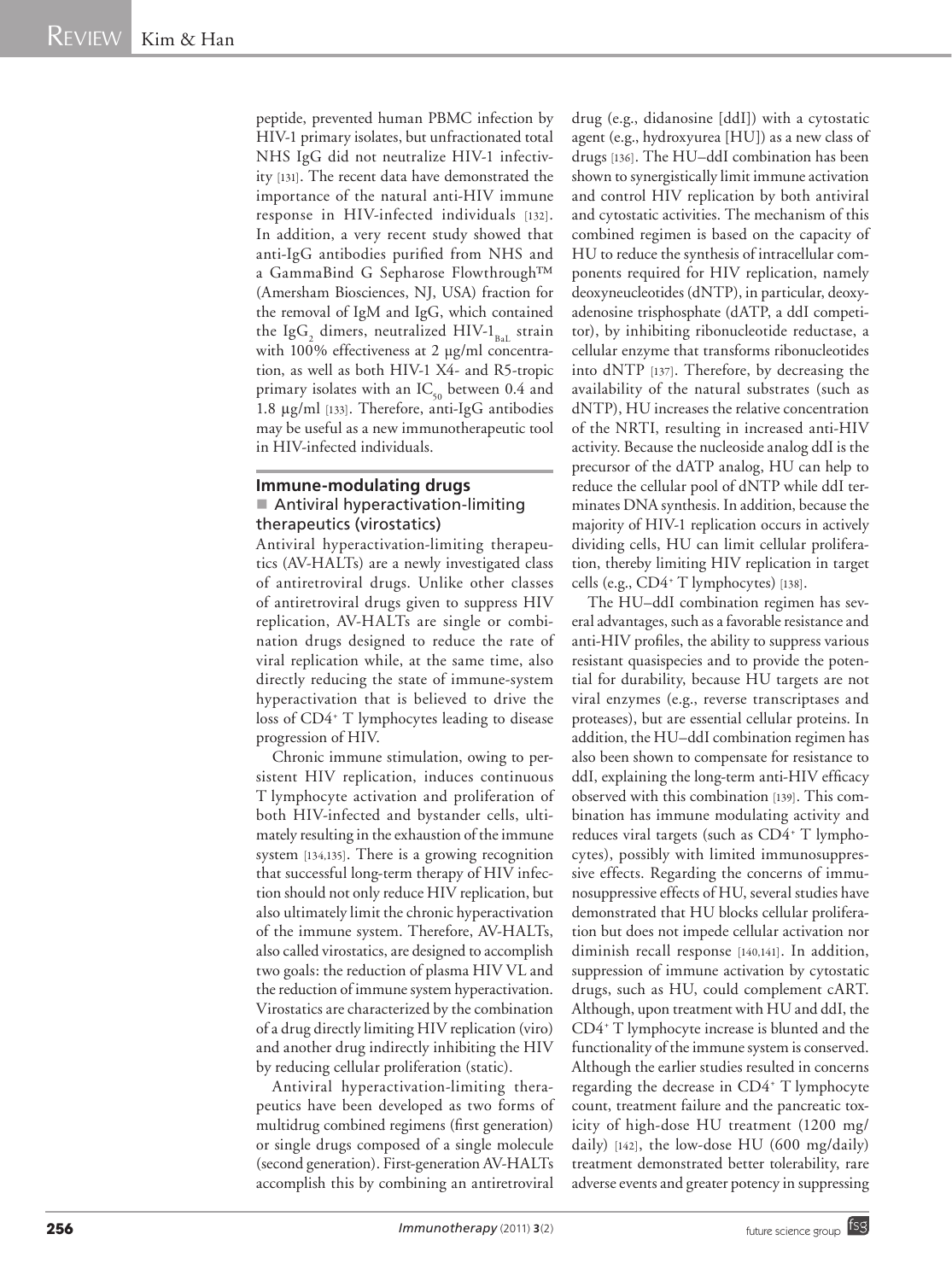peptide, prevented human PBMC infection by HIV-1 primary isolates, but unfractionated total NHS IgG did not neutralize HIV-1 infectivity [131]. The recent data have demonstrated the importance of the natural anti-HIV immune response in HIV-infected individuals [132]. In addition, a very recent study showed that anti-IgG antibodies purified from NHS and a GammaBind G Sepharose Flowthrough™ (Amersham Biosciences, NJ, USA) fraction for the removal of IgM and IgG, which contained the Ig $G_2$  dimers, neutralized HIV-1<sub>BaL</sub> strain with 100% effectiveness at 2 µg/ml concentration, as well as both HIV-1 X4- and R5-tropic primary isolates with an  $IC_{50}$  between 0.4 and 1.8 µg/ml [133]. Therefore, anti-IgG antibodies may be useful as a new immunotherapeutic tool in HIV-infected individuals.

#### **Immune-modulating drugs** ■ Antiviral hyperactivation-limiting therapeutics (virostatics)

Antiviral hyperactivation-limiting therapeutics (AV-HALTs) are a newly investigated class of antiretroviral drugs. Unlike other classes of antiretroviral drugs given to suppress HIV replication, AV-HALTs are single or combination drugs designed to reduce the rate of viral replication while, at the same time, also directly reducing the state of immune-system hyperactivation that is believed to drive the loss of CD4+ T lymphocytes leading to disease progression of HIV.

Chronic immune stimulation, owing to persistent HIV replication, induces continuous T lymphocyte activation and proliferation of both HIV-infected and bystander cells, ultimately resulting in the exhaustion of the immune system [134,135]. There is a growing recognition that successful long-term therapy of HIV infection should not only reduce HIV replication, but also ultimately limit the chronic hyperactivation of the immune system. Therefore, AV-HALTs, also called virostatics, are designed to accomplish two goals: the reduction of plasma HIV VL and the reduction of immune system hyperactivation. Virostatics are characterized by the combination of a drug directly limiting HIV replication (viro) and another drug indirectly inhibiting the HIV by reducing cellular proliferation (static).

Antiviral hyperactivation-limiting therapeutics have been developed as two forms of multidrug combined regimens (first generation) or single drugs composed of a single molecule (second generation). First-generation AV-HALTs accomplish this by combining an antiretroviral drug (e.g., didanosine [ddI]) with a cytostatic agent (e.g., hydroxyurea [HU]) as a new class of drugs [136]. The HU–ddI combination has been shown to synergistically limit immune activation and control HIV replication by both antiviral and cytostatic activities. The mechanism of this combined regimen is based on the capacity of HU to reduce the synthesis of intracellular components required for HIV replication, namely deoxyneucleotides (dNTP), in particular, deoxyadenosine trisphosphate (dATP, a ddI competitor), by inhibiting ribonucleotide reductase, a cellular enzyme that transforms ribonucleotides into dNTP [137]. Therefore, by decreasing the availability of the natural substrates (such as dNTP), HU increases the relative concentration of the NRTI, resulting in increased anti-HIV activity. Because the nucleoside analog ddI is the precursor of the dATP analog, HU can help to reduce the cellular pool of dNTP while ddI terminates DNA synthesis. In addition, because the majority of HIV-1 replication occurs in actively dividing cells, HU can limit cellular proliferation, thereby limiting HIV replication in target cells (e.g., CD4+ T lymphocytes) [138].

The HU–ddI combination regimen has several advantages, such as a favorable resistance and anti-HIV profiles, the ability to suppress various resistant quasispecies and to provide the potential for durability, because HU targets are not viral enzymes (e.g., reverse transcriptases and proteases), but are essential cellular proteins. In addition, the HU–ddI combination regimen has also been shown to compensate for resistance to ddI, explaining the long-term anti-HIV efficacy observed with this combination [139]. This combination has immune modulating activity and reduces viral targets (such as CD4<sup>+</sup> T lymphocytes), possibly with limited immunosuppressive effects. Regarding the concerns of immunosuppressive effects of HU, several studies have demonstrated that HU blocks cellular proliferation but does not impede cellular activation nor diminish recall response [140,141]. In addition, suppression of immune activation by cytostatic drugs, such as HU, could complement cART. Although, upon treatment with HU and ddI, the CD4+ T lymphocyte increase is blunted and the functionality of the immune system is conserved. Although the earlier studies resulted in concerns regarding the decrease in CD4+ T lymphocyte count, treatment failure and the pancreatic toxicity of high-dose HU treatment (1200 mg/ daily) [142], the low-dose HU (600 mg/daily) treatment demonstrated better tolerability, rare adverse events and greater potency in suppressing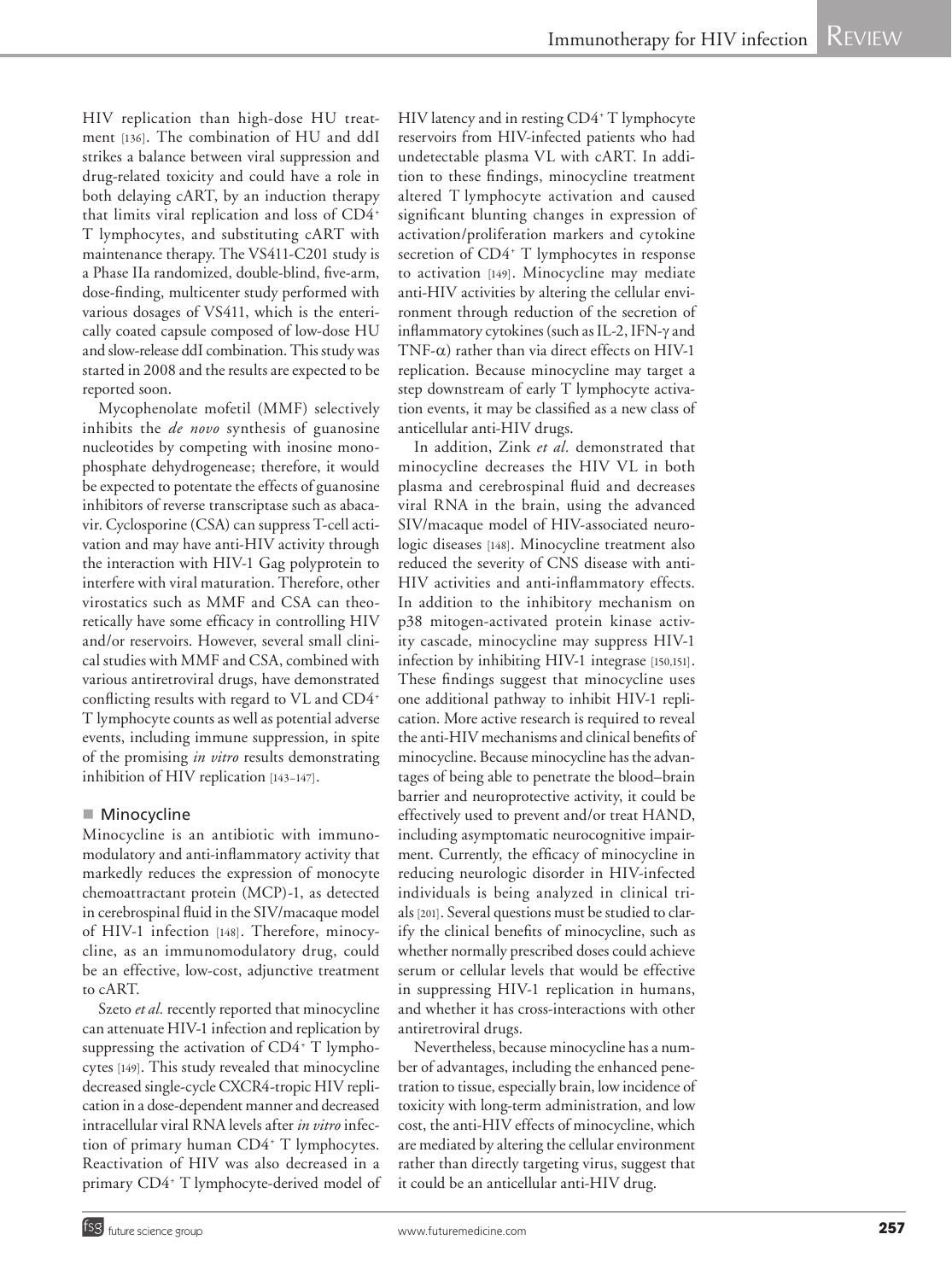HIV replication than high-dose HU treatment [136]. The combination of HU and ddI strikes a balance between viral suppression and drug-related toxicity and could have a role in both delaying cART, by an induction therapy that limits viral replication and loss of CD4+ T lymphocytes, and substituting cART with maintenance therapy. The VS411-C201 study is a Phase IIa randomized, double-blind, five-arm, dose-finding, multicenter study performed with various dosages of VS411, which is the enterically coated capsule composed of low-dose HU and slow-release ddI combination. This study was started in 2008 and the results are expected to be reported soon.

Mycophenolate mofetil (MMF) selectively inhibits the *de novo* synthesis of guanosine nucleotides by competing with inosine monophosphate dehydrogenease; therefore, it would be expected to potentate the effects of guanosine inhibitors of reverse transcriptase such as abacavir. Cyclosporine (CSA) can suppress T-cell activation and may have anti-HIV activity through the interaction with HIV-1 Gag polyprotein to interfere with viral maturation. Therefore, other virostatics such as MMF and CSA can theoretically have some efficacy in controlling HIV and/or reservoirs. However, several small clinical studies with MMF and CSA, combined with various antiretroviral drugs, have demonstrated conflicting results with regard to VL and CD4+ T lymphocyte counts as well as potential adverse events, including immune suppression, in spite of the promising *in vitro* results demonstrating inhibition of HIV replication [143–147].

#### ■ Minocycline

Minocycline is an antibiotic with immunomodulatory and anti-inflammatory activity that markedly reduces the expression of monocyte chemoattractant protein (MCP)-1, as detected in cerebrospinal fluid in the SIV/macaque model of HIV-1 infection [148]. Therefore, minocycline, as an immunomodulatory drug, could be an effective, low-cost, adjunctive treatment to cART.

Szeto et al. recently reported that minocycline can attenuate HIV-1 infection and replication by suppressing the activation of CD4+ T lymphocytes [149]. This study revealed that minocycline decreased single-cycle CXCR4-tropic HIV replication in a dose-dependent manner and decreased intracellular viral RNA levels after *in vitro* infection of primary human CD4+ T lymphocytes. Reactivation of HIV was also decreased in a primary CD4+ T lymphocyte-derived model of

HIV latency and in resting CD4+ T lymphocyte reservoirs from HIV-infected patients who had undetectable plasma VL with cART. In addition to these findings, minocycline treatment altered T lymphocyte activation and caused significant blunting changes in expression of activation/proliferation markers and cytokine secretion of CD4<sup>+</sup> T lymphocytes in response to activation [149]. Minocycline may mediate anti-HIV activities by altering the cellular environment through reduction of the secretion of inflammatory cytokines (such as IL-2, IFN-y and TNF- $\alpha$ ) rather than via direct effects on HIV-1 replication. Because minocycline may target a step downstream of early T lymphocyte activation events, it may be classified as a new class of anticellular anti-HIV drugs.

In addition, Zink *et al.* demonstrated that minocycline decreases the HIV VL in both plasma and cerebrospinal fluid and decreases viral RNA in the brain, using the advanced SIV/macaque model of HIV-associated neurologic diseases [148]. Minocycline treatment also reduced the severity of CNS disease with anti-HIV activities and anti-inflammatory effects. In addition to the inhibitory mechanism on p38 mitogen-activated protein kinase activity cascade, minocycline may suppress HIV-1 infection by inhibiting HIV-1 integrase [150,151]. These findings suggest that minocycline uses one additional pathway to inhibit HIV-1 replication. More active research is required to reveal the anti-HIV mechanisms and clinical benefits of minocycline. Because minocycline has the advantages of being able to penetrate the blood–brain barrier and neuroprotective activity, it could be effectively used to prevent and/or treat HAND, including asymptomatic neurocognitive impairment. Currently, the efficacy of minocycline in reducing neurologic disorder in HIV-infected individuals is being analyzed in clinical trials [201]. Several questions must be studied to clarify the clinical benefits of minocycline, such as whether normally prescribed doses could achieve serum or cellular levels that would be effective in suppressing HIV-1 replication in humans, and whether it has cross-interactions with other antiretroviral drugs.

Nevertheless, because minocycline has a number of advantages, including the enhanced penetration to tissue, especially brain, low incidence of toxicity with long-term administration, and low cost, the anti-HIV effects of minocycline, which are mediated by altering the cellular environment rather than directly targeting virus, suggest that it could be an anticellular anti-HIV drug.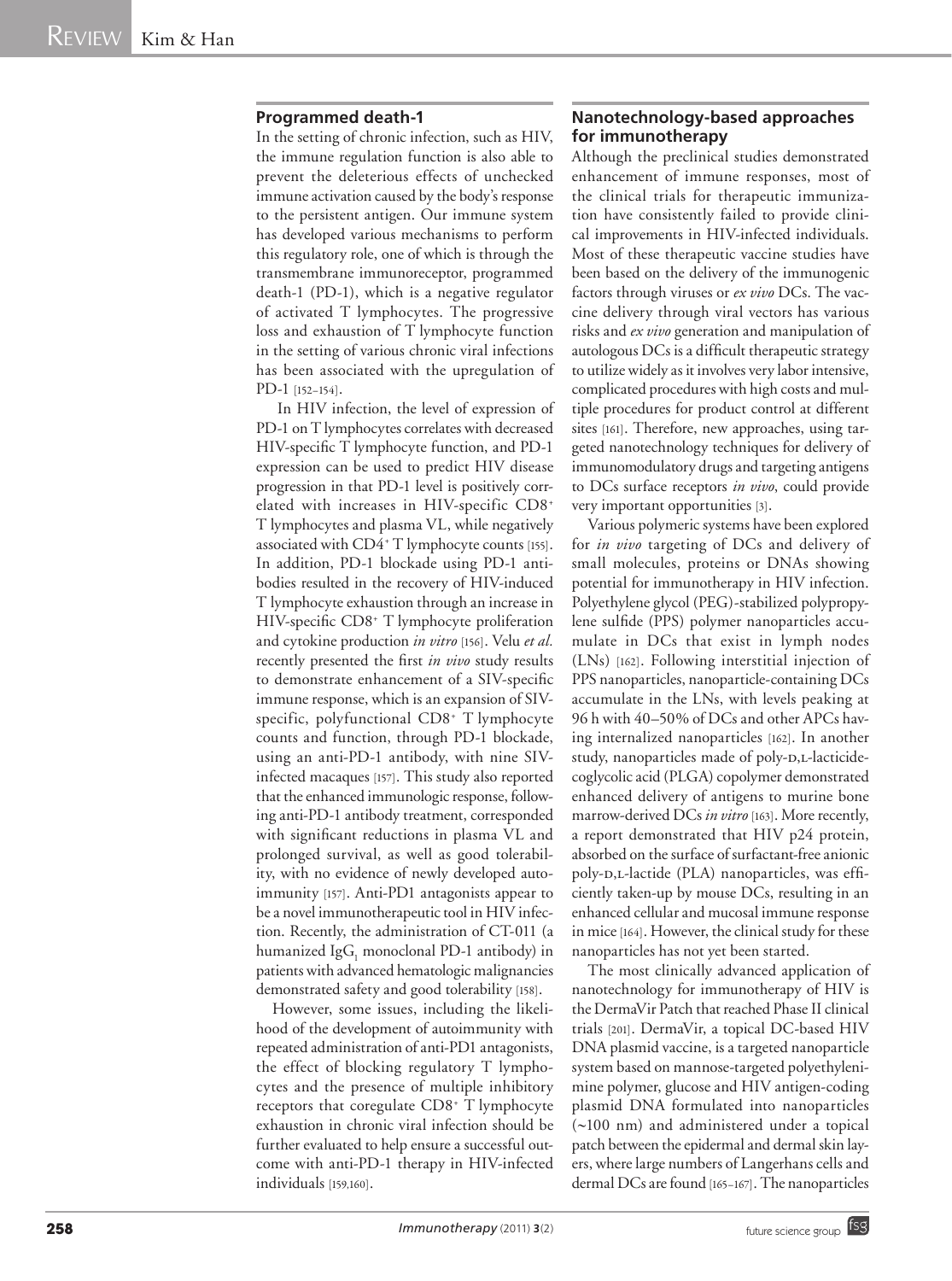#### **Programmed death-1**

In the setting of chronic infection, such as HIV, the immune regulation function is also able to prevent the deleterious effects of unchecked immune activation caused by the body's response to the persistent antigen. Our immune system has developed various mechanisms to perform this regulatory role, one of which is through the transmembrane immunoreceptor, programmed death-1 (PD-1), which is a negative regulator of activated T lymphocytes. The progressive loss and exhaustion of T lymphocyte function in the setting of various chronic viral infections has been associated with the upregulation of PD-1 [152–154].

 In HIV infection, the level of expression of PD-1 on T lymphocytes correlates with decreased HIV-specific T lymphocyte function, and PD-1 expression can be used to predict HIV disease progression in that PD-1 level is positively correlated with increases in HIV-specific CD8+ T lymphocytes and plasma VL, while negatively associated with CD4+ T lymphocyte counts [155]. In addition, PD-1 blockade using PD-1 antibodies resulted in the recovery of HIV-induced T lymphocyte exhaustion through an increase in HIV-specific CD8+ T lymphocyte proliferation and cytokine production *in vitro* [156]. Velu *et al.* recently presented the first *in vivo* study results to demonstrate enhancement of a SIV-specific immune response, which is an expansion of SIVspecific, polyfunctional CD8+ T lymphocyte counts and function, through PD-1 blockade, using an anti-PD-1 antibody, with nine SIVinfected macaques [157]. This study also reported that the enhanced immunologic response, following anti-PD-1 antibody treatment, corresponded with significant reductions in plasma VL and prolonged survival, as well as good tolerability, with no evidence of newly developed autoimmunity [157]. Anti-PD1 antagonists appear to be a novel immunotherapeutic tool in HIV infection. Recently, the administration of CT-011 (a humanized Ig $G_1$  monoclonal PD-1 antibody) in patients with advanced hematologic malignancies demonstrated safety and good tolerability [158].

However, some issues, including the likelihood of the development of autoimmunity with repeated administration of anti-PD1 antagonists, the effect of blocking regulatory T lymphocytes and the presence of multiple inhibitory receptors that coregulate CD8+ T lymphocyte exhaustion in chronic viral infection should be further evaluated to help ensure a successful outcome with anti-PD-1 therapy in HIV-infected individuals [159,160].

# **Nanotechnology-based approaches for immunotherapy**

Although the preclinical studies demonstrated enhancement of immune responses, most of the clinical trials for therapeutic immunization have consistently failed to provide clinical improvements in HIV-infected individuals. Most of these therapeutic vaccine studies have been based on the delivery of the immunogenic factors through viruses or *ex vivo* DCs. The vaccine delivery through viral vectors has various risks and *ex vivo* generation and manipulation of autologous DCs is a difficult therapeutic strategy to utilize widely as it involves very labor intensive, complicated procedures with high costs and multiple procedures for product control at different sites [161]. Therefore, new approaches, using targeted nanotechnology techniques for delivery of immunomodulatory drugs and targeting antigens to DCs surface receptors *in vivo*, could provide very important opportunities [3].

Various polymeric systems have been explored for *in vivo* targeting of DCs and delivery of small molecules, proteins or DNAs showing potential for immunotherapy in HIV infection. Polyethylene glycol (PEG)-stabilized polypropylene sulfide (PPS) polymer nanoparticles accumulate in DCs that exist in lymph nodes (LNs) [162]. Following interstitial injection of PPS nanoparticles, nanoparticle-containing DCs accumulate in the LNs, with levels peaking at 96 h with 40–50% of DCs and other APCs having internalized nanoparticles [162]. In another study, nanoparticles made of poly-D,L-lacticidecoglycolic acid (PLGA) copolymer demonstrated enhanced delivery of antigens to murine bone marrow-derived DCs *in vitro* [163]. More recently, a report demonstrated that HIV p24 protein, absorbed on the surface of surfactant-free anionic poly-D,L-lactide (PLA) nanoparticles, was efficiently taken-up by mouse DCs, resulting in an enhanced cellular and mucosal immune response in mice [164]. However, the clinical study for these nanoparticles has not yet been started.

The most clinically advanced application of nanotechnology for immunotherapy of HIV is the DermaVir Patch that reached Phase II clinical trials [201]. DermaVir, a topical DC-based HIV DNA plasmid vaccine, is a targeted nanoparticle system based on mannose-targeted polyethylenimine polymer, glucose and HIV antigen-coding plasmid DNA formulated into nanoparticles (~100 nm) and administered under a topical patch between the epidermal and dermal skin layers, where large numbers of Langerhans cells and dermal DCs are found [165–167]. The nanoparticles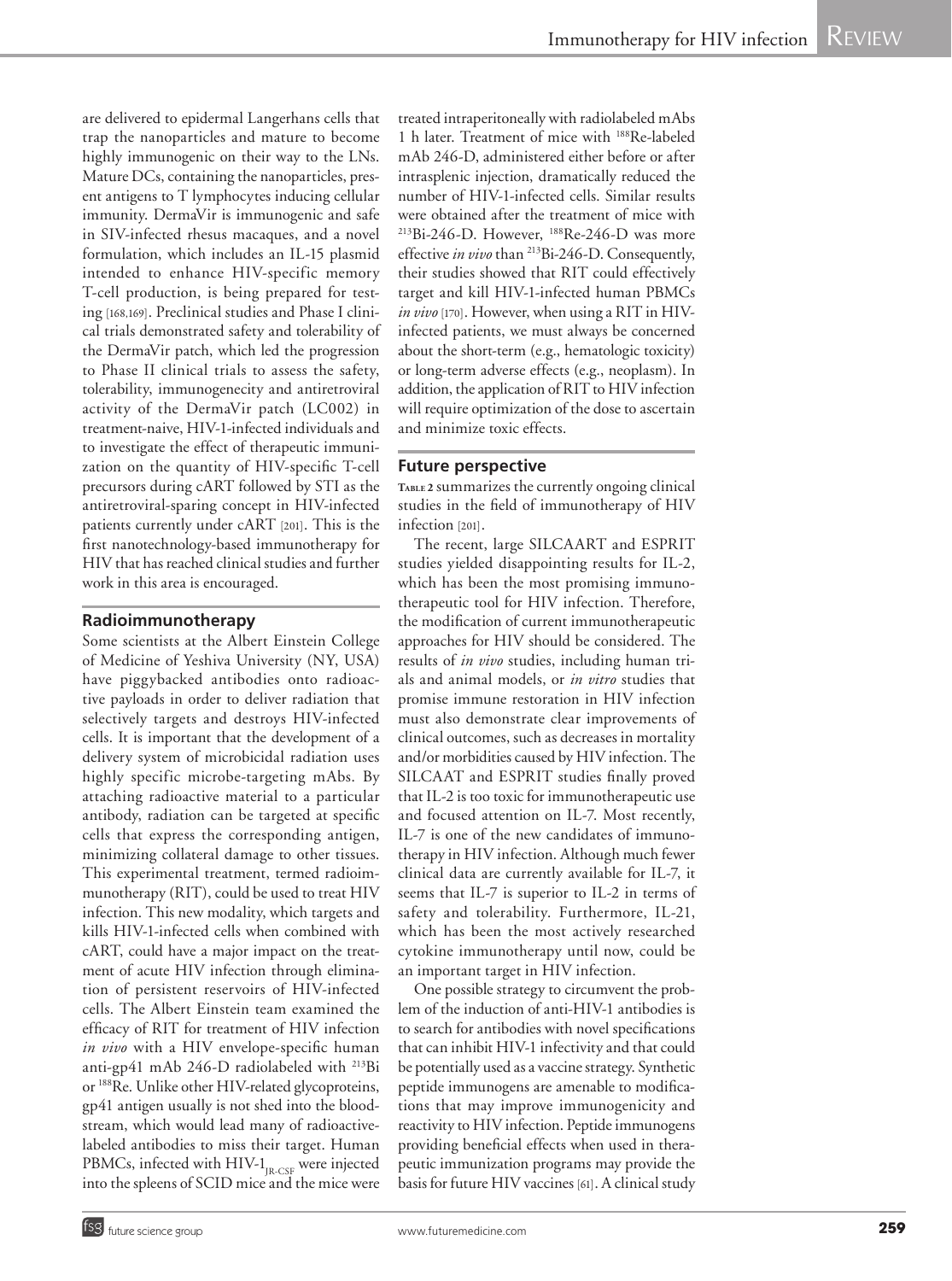are delivered to epidermal Langerhans cells that trap the nanoparticles and mature to become highly immunogenic on their way to the LNs. Mature DCs, containing the nanoparticles, present antigens to T lymphocytes inducing cellular immunity. DermaVir is immunogenic and safe in SIV-infected rhesus macaques, and a novel formulation, which includes an IL-15 plasmid intended to enhance HIV-specific memory T-cell production, is being prepared for testing [168,169]. Preclinical studies and Phase I clinical trials demonstrated safety and tolerability of the DermaVir patch, which led the progression to Phase II clinical trials to assess the safety, tolerability, immunogenecity and antiretroviral activity of the DermaVir patch (LC002) in treatment-naive, HIV-1-infected individuals and to investigate the effect of therapeutic immunization on the quantity of HIV-specific T-cell precursors during cART followed by STI as the antiretroviral-sparing concept in HIV-infected patients currently under cART [201]. This is the first nanotechnology-based immunotherapy for HIV that has reached clinical studies and further work in this area is encouraged.

# **Radioimmunotherapy**

Some scientists at the Albert Einstein College of Medicine of Yeshiva University (NY, USA) have piggybacked antibodies onto radioactive payloads in order to deliver radiation that selectively targets and destroys HIV-infected cells. It is important that the development of a delivery system of microbicidal radiation uses highly specific microbe-targeting mAbs. By attaching radioactive material to a particular antibody, radiation can be targeted at specific cells that express the corresponding antigen, minimizing collateral damage to other tissues. This experimental treatment, termed radioimmunotherapy (RIT), could be used to treat HIV infection. This new modality, which targets and kills HIV-1-infected cells when combined with cART, could have a major impact on the treatment of acute HIV infection through elimination of persistent reservoirs of HIV-infected cells. The Albert Einstein team examined the efficacy of RIT for treatment of HIV infection *in vivo* with a HIV envelope-specific human anti-gp41 mAb 246-D radiolabeled with 213Bi or 188Re. Unlike other HIV-related glycoproteins, gp41 antigen usually is not shed into the bloodstream, which would lead many of radioactivelabeled antibodies to miss their target. Human PBMCs, infected with HIV-1<sub>JR-CSF</sub> were injected into the spleens of SCID mice and the mice were treated intraperitoneally with radiolabeled mAbs 1 h later. Treatment of mice with 188Re-labeled mAb 246-D, administered either before or after intrasplenic injection, dramatically reduced the number of HIV-1-infected cells. Similar results were obtained after the treatment of mice with 213Bi-246-D. However, 188Re-246-D was more effective *in vivo* than 213Bi-246-D. Consequently, their studies showed that RIT could effectively target and kill HIV-1-infected human PBMCs *in vivo* [170]. However, when using a RIT in HIVinfected patients, we must always be concerned about the short-term (e.g., hematologic toxicity) or long-term adverse effects (e.g., neoplasm). In addition, the application of RIT to HIV infection will require optimization of the dose to ascertain and minimize toxic effects.

# **Future perspective**

**Table <sup>2</sup>** summarizes the currently ongoing clinical studies in the field of immunotherapy of HIV infection [201].

The recent, large SILCAART and ESPRIT studies yielded disappointing results for IL-2, which has been the most promising immunotherapeutic tool for HIV infection. Therefore, the modification of current immunotherapeutic approaches for HIV should be considered. The results of *in vivo* studies, including human trials and animal models, or *in vitro* studies that promise immune restoration in HIV infection must also demonstrate clear improvements of clinical outcomes, such as decreases in mortality and/or morbidities caused by HIV infection. The SILCAAT and ESPRIT studies finally proved that IL-2 is too toxic for immunotherapeutic use and focused attention on IL-7. Most recently, IL-7 is one of the new candidates of immunotherapy in HIV infection. Although much fewer clinical data are currently available for IL-7, it seems that IL-7 is superior to IL-2 in terms of safety and tolerability. Furthermore, IL-21, which has been the most actively researched cytokine immunotherapy until now, could be an important target in HIV infection.

One possible strategy to circumvent the problem of the induction of anti-HIV-1 antibodies is to search for antibodies with novel specifications that can inhibit HIV-1 infectivity and that could be potentially used as a vaccine strategy. Synthetic peptide immunogens are amenable to modifications that may improve immunogenicity and reactivity to HIV infection. Peptide immunogens providing beneficial effects when used in therapeutic immunization programs may provide the basis for future HIV vaccines [61]. A clinical study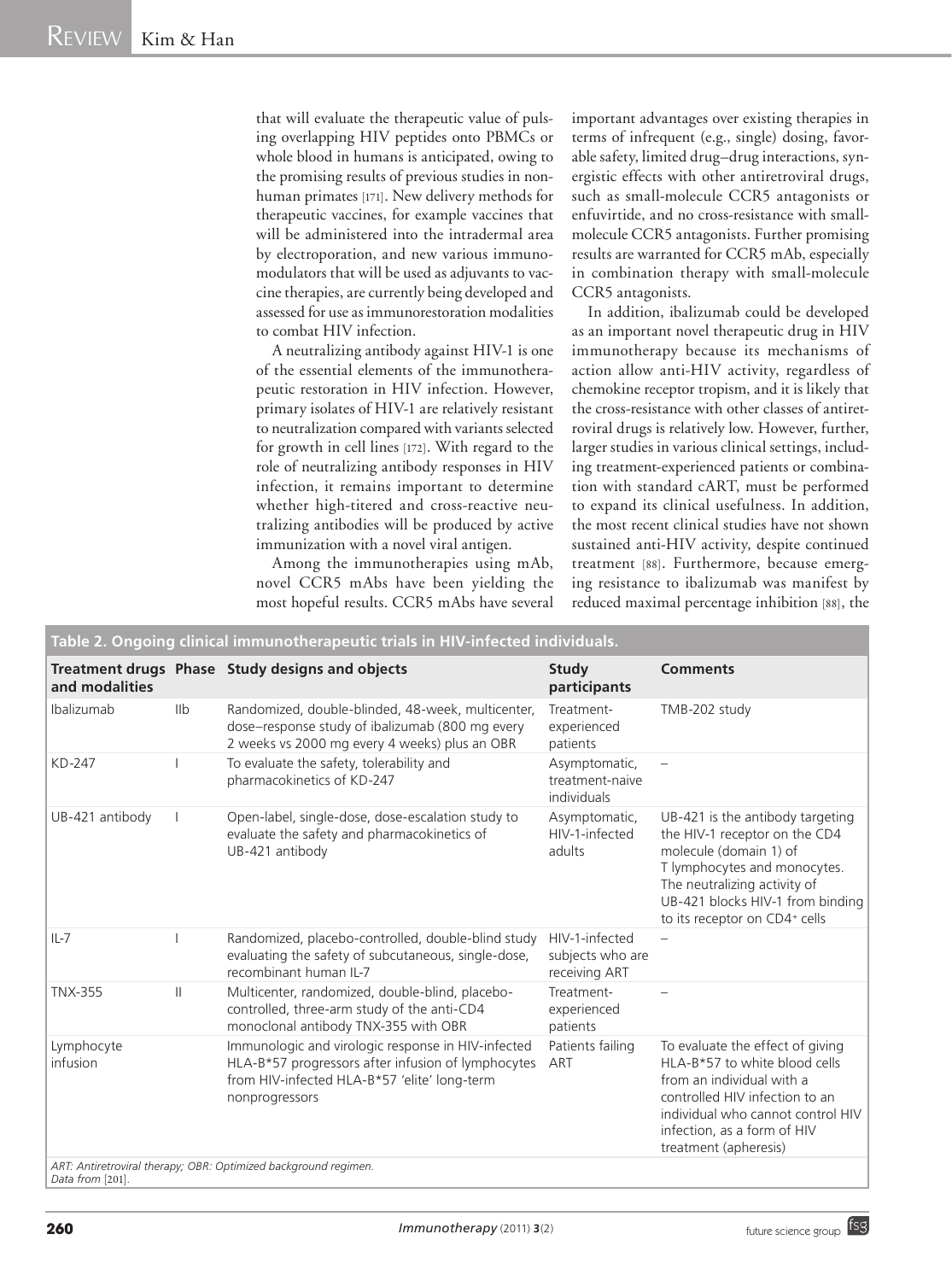that will evaluate the therapeutic value of pulsing overlapping HIV peptides onto PBMCs or whole blood in humans is anticipated, owing to the promising results of previous studies in nonhuman primates [171]. New delivery methods for therapeutic vaccines, for example vaccines that will be administered into the intradermal area by electroporation, and new various immunomodulators that will be used as adjuvants to vaccine therapies, are currently being developed and assessed for use as immunorestoration modalities to combat HIV infection.

A neutralizing antibody against HIV-1 is one of the essential elements of the immunotherapeutic restoration in HIV infection. However, primary isolates of HIV-1 are relatively resistant to neutralization compared with variants selected for growth in cell lines [172]. With regard to the role of neutralizing antibody responses in HIV infection, it remains important to determine whether high-titered and cross-reactive neutralizing antibodies will be produced by active immunization with a novel viral antigen.

Among the immunotherapies using mAb, novel CCR5 mAbs have been yielding the most hopeful results. CCR5 mAbs have several important advantages over existing therapies in terms of infrequent (e.g., single) dosing, favorable safety, limited drug–drug interactions, synergistic effects with other antiretroviral drugs, such as small-molecule CCR5 antagonists or enfuvirtide, and no cross-resistance with smallmolecule CCR5 antagonists. Further promising results are warranted for CCR5 mAb, especially in combination therapy with small-molecule CCR5 antagonists.

In addition, ibalizumab could be developed as an important novel therapeutic drug in HIV immunotherapy because its mechanisms of action allow anti-HIV activity, regardless of chemokine receptor tropism, and it is likely that the cross-resistance with other classes of antiretroviral drugs is relatively low. However, further, larger studies in various clinical settings, including treatment-experienced patients or combination with standard cART, must be performed to expand its clinical usefulness. In addition, the most recent clinical studies have not shown sustained anti-HIV activity, despite continued treatment [88]. Furthermore, because emerging resistance to ibalizumab was manifest by reduced maximal percentage inhibition [88], the

| Table 2. Ongoing clinical immunotherapeutic trials in HIV-infected individuals. |                |                                                                                                                                                                                                                                               |                                                     |                                                                                                                                                                                                                                  |  |
|---------------------------------------------------------------------------------|----------------|-----------------------------------------------------------------------------------------------------------------------------------------------------------------------------------------------------------------------------------------------|-----------------------------------------------------|----------------------------------------------------------------------------------------------------------------------------------------------------------------------------------------------------------------------------------|--|
| and modalities                                                                  |                | Treatment drugs Phase Study designs and objects                                                                                                                                                                                               | Study<br>participants                               | <b>Comments</b>                                                                                                                                                                                                                  |  |
| Ibalizumab                                                                      | I <sub>1</sub> | Randomized, double-blinded, 48-week, multicenter,<br>dose-response study of ibalizumab (800 mg every<br>2 weeks vs 2000 mg every 4 weeks) plus an OBR                                                                                         | Treatment-<br>experienced<br>patients               | TMB-202 study                                                                                                                                                                                                                    |  |
| KD-247                                                                          |                | To evaluate the safety, tolerability and<br>pharmacokinetics of KD-247                                                                                                                                                                        | Asymptomatic,<br>treatment-naive<br>individuals     |                                                                                                                                                                                                                                  |  |
| UB-421 antibody                                                                 |                | Open-label, single-dose, dose-escalation study to<br>evaluate the safety and pharmacokinetics of<br>UB-421 antibody                                                                                                                           | Asymptomatic,<br>HIV-1-infected<br>adults           | UB-421 is the antibody targeting<br>the HIV-1 receptor on the CD4<br>molecule (domain 1) of<br>T lymphocytes and monocytes.<br>The neutralizing activity of<br>UB-421 blocks HIV-1 from binding<br>to its receptor on CD4+ cells |  |
| $IL-7$                                                                          |                | Randomized, placebo-controlled, double-blind study<br>evaluating the safety of subcutaneous, single-dose,<br>recombinant human IL-7                                                                                                           | HIV-1-infected<br>subjects who are<br>receiving ART |                                                                                                                                                                                                                                  |  |
| <b>TNX-355</b>                                                                  | $\mathbb{I}$   | Multicenter, randomized, double-blind, placebo-<br>controlled, three-arm study of the anti-CD4<br>monoclonal antibody TNX-355 with OBR                                                                                                        | Treatment-<br>experienced<br>patients               |                                                                                                                                                                                                                                  |  |
| Lymphocyte<br>infusion                                                          |                | Immunologic and virologic response in HIV-infected<br>HLA-B*57 progressors after infusion of lymphocytes<br>from HIV-infected HLA-B*57 'elite' long-term<br>nonprogressors<br>ART: Antiretroviral therapy; OBR: Optimized background regimen. | Patients failing<br>ART                             | To evaluate the effect of giving<br>HLA-B*57 to white blood cells<br>from an individual with a<br>controlled HIV infection to an<br>individual who cannot control HIV<br>infection, as a form of HIV<br>treatment (apheresis)    |  |

*Data from* [201]*.*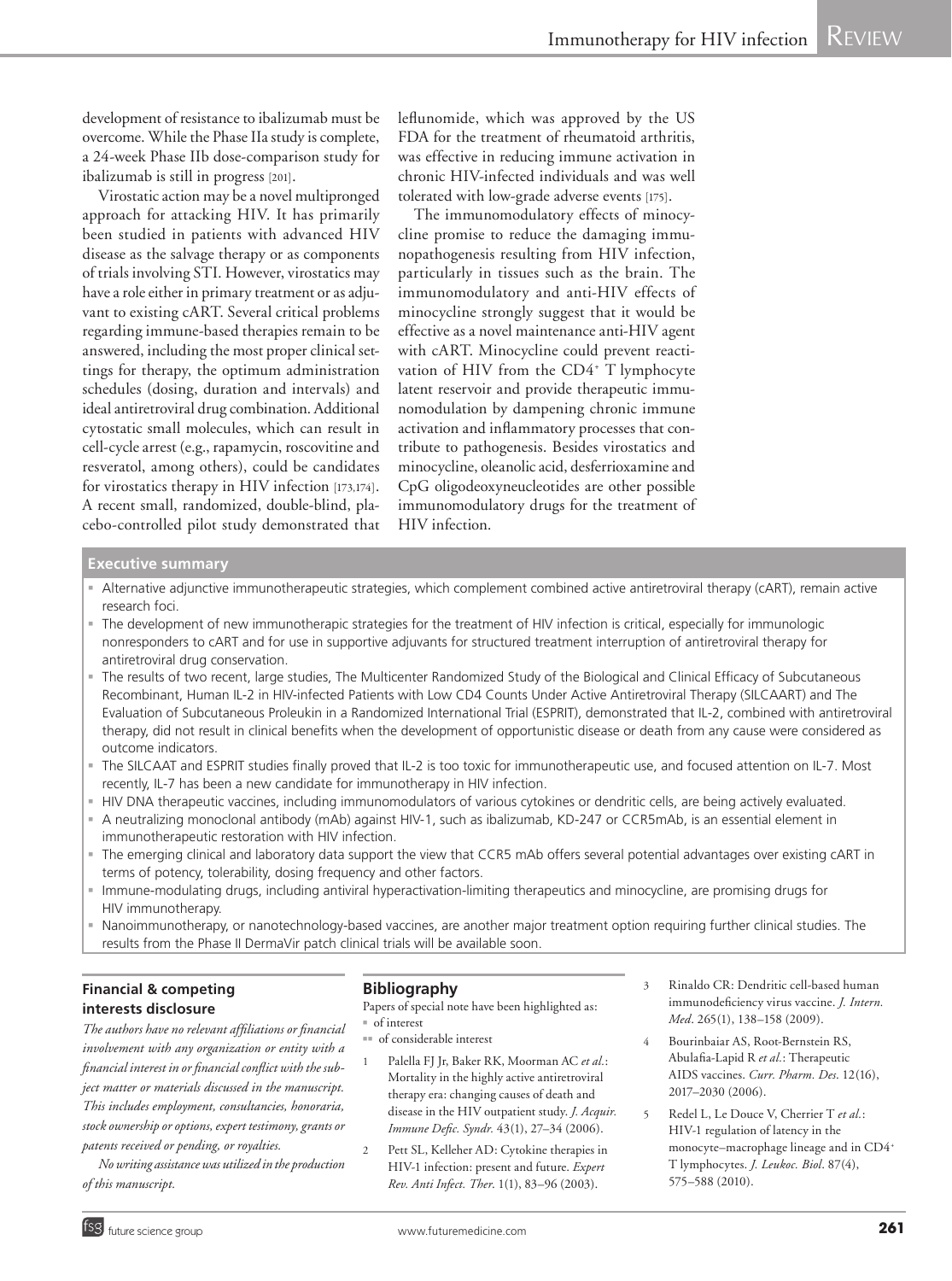development of resistance to ibalizumab must be overcome. While the Phase IIa study is complete, a 24-week Phase IIb dose-comparison study for ibalizumab is still in progress [201].

Virostatic action may be a novel multipronged approach for attacking HIV. It has primarily been studied in patients with advanced HIV disease as the salvage therapy or as components of trials involving STI. However, virostatics may have a role either in primary treatment or as adjuvant to existing cART. Several critical problems regarding immune-based therapies remain to be answered, including the most proper clinical settings for therapy, the optimum administration schedules (dosing, duration and intervals) and ideal antiretroviral drug combination. Additional cytostatic small molecules, which can result in cell-cycle arrest (e.g., rapamycin, roscovitine and resveratol, among others), could be candidates for virostatics therapy in HIV infection [173,174]. A recent small, randomized, double-blind, placebo-controlled pilot study demonstrated that leflunomide, which was approved by the US FDA for the treatment of rheumatoid arthritis, was effective in reducing immune activation in chronic HIV-infected individuals and was well tolerated with low-grade adverse events [175].

The immunomodulatory effects of minocycline promise to reduce the damaging immunopathogenesis resulting from HIV infection, particularly in tissues such as the brain. The immunomodulatory and anti-HIV effects of minocycline strongly suggest that it would be effective as a novel maintenance anti-HIV agent with cART. Minocycline could prevent reactivation of HIV from the CD4<sup>+</sup> T lymphocyte latent reservoir and provide therapeutic immunomodulation by dampening chronic immune activation and inflammatory processes that contribute to pathogenesis. Besides virostatics and minocycline, oleanolic acid, desferrioxamine and CpG oligodeoxyneucleotides are other possible immunomodulatory drugs for the treatment of HIV infection.

#### **Executive summary**

- Alternative adjunctive immunotherapeutic strategies, which complement combined active antiretroviral therapy (cART), remain active research foci.
- The development of new immunotherapic strategies for the treatment of HIV infection is critical, especially for immunologic nonresponders to cART and for use in supportive adjuvants for structured treatment interruption of antiretroviral therapy for antiretroviral drug conservation.
- The results of two recent, large studies, The Multicenter Randomized Study of the Biological and Clinical Efficacy of Subcutaneous Recombinant, Human IL-2 in HIV-infected Patients with Low CD4 Counts Under Active Antiretroviral Therapy (SILCAART) and The Evaluation of Subcutaneous Proleukin in a Randomized International Trial (ESPRIT), demonstrated that IL-2, combined with antiretroviral therapy, did not result in clinical benefits when the development of opportunistic disease or death from any cause were considered as outcome indicators.
- The SILCAAT and ESPRIT studies finally proved that IL-2 is too toxic for immunotherapeutic use, and focused attention on IL-7. Most recently, IL-7 has been a new candidate for immunotherapy in HIV infection.
- HIV DNA therapeutic vaccines, including immunomodulators of various cytokines or dendritic cells, are being actively evaluated.
- A neutralizing monoclonal antibody (mAb) against HIV-1, such as ibalizumab, KD-247 or CCR5mAb, is an essential element in immunotherapeutic restoration with HIV infection.
- The emerging clinical and laboratory data support the view that CCR5 mAb offers several potential advantages over existing cART in terms of potency, tolerability, dosing frequency and other factors.
- Immune-modulating drugs, including antiviral hyperactivation-limiting therapeutics and minocycline, are promising drugs for HIV immunotherapy.
- Nanoimmunotherapy, or nanotechnology-based vaccines, are another major treatment option requiring further clinical studies. The results from the Phase II DermaVir patch clinical trials will be available soon.

#### **Financial & competing interests disclosure**

*The authors have no relevant affiliations or financial involvement with any organization or entity with a financial interest in or financial conflict with the subject matter or materials discussed in the manuscript. This includes employment, consultancies, honoraria, stock ownership or options, expert testimony, grants or patents received or pending, or royalties.*

*No writing assistance was utilized in the production of this manuscript.*

#### **Bibliography**

Papers of special note have been highlighted as:

- $n \in \text{of interest}$
- nnerest of considerable interest
- 1 Palella FJ Jr, Baker RK, Moorman AC *et al.*: Mortality in the highly active antiretroviral therapy era: changing causes of death and disease in the HIV outpatient study. *J. Acquir. Immune Defic. Syndr.* 43(1), 27–34 (2006).
- 2 Pett SL, Kelleher AD: Cytokine therapies in HIV-1 infection: present and future. *Expert Rev. Anti Infect. Ther*. 1(1), 83–96 (2003).
- 3 Rinaldo CR: Dendritic cell-based human immunodeficiency virus vaccine. *J. Intern. Med*. 265(1), 138–158 (2009).
- 4 Bourinbaiar AS, Root-Bernstein RS, Abulafia-Lapid R *et al.*: Therapeutic AIDS vaccines. *Curr. Pharm. Des*. 12(16), 2017–2030 (2006).
- 5 Redel L, Le Douce V, Cherrier T *et al.*: HIV-1 regulation of latency in the monocyte–macrophage lineage and in CD4+ T lymphocytes. *J. Leukoc. Biol*. 87(4), 575–588 (2010).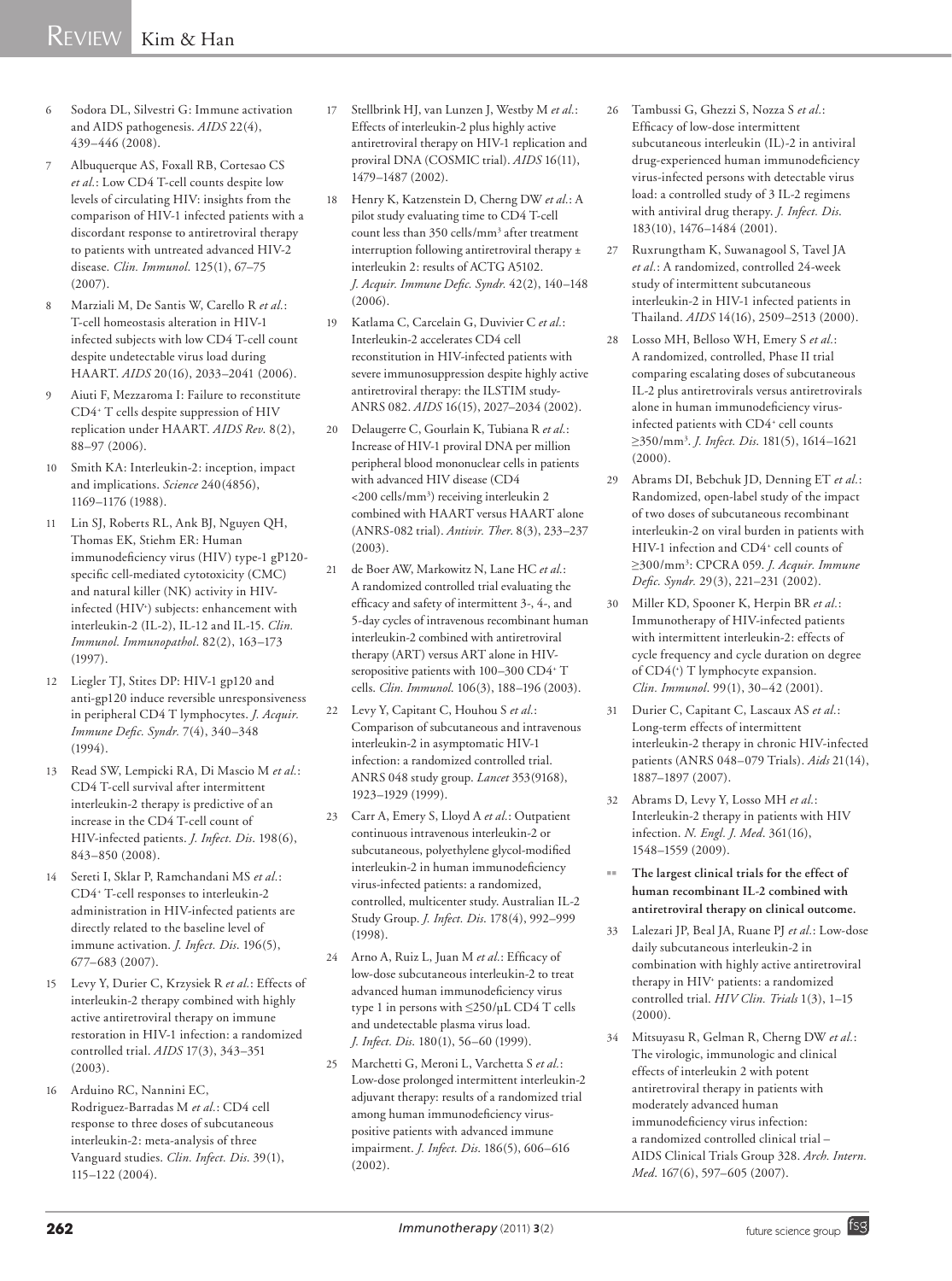- 6 Sodora DL, Silvestri G: Immune activation and AIDS pathogenesis. *AIDS* 22(4), 439–446 (2008).
- 7 Albuquerque AS, Foxall RB, Cortesao CS *et al.*: Low CD4 T-cell counts despite low levels of circulating HIV: insights from the comparison of HIV-1 infected patients with a discordant response to antiretroviral therapy to patients with untreated advanced HIV-2 disease. *Clin. Immunol*. 125(1), 67–75  $(2007)$
- 8 Marziali M, De Santis W, Carello R *et al.*: T-cell homeostasis alteration in HIV-1 infected subjects with low CD4 T-cell count despite undetectable virus load during HAART. *AIDS* 20(16), 2033–2041 (2006).
- 9 Aiuti F, Mezzaroma I: Failure to reconstitute CD4+ T cells despite suppression of HIV replication under HAART. *AIDS Rev*. 8(2), 88–97 (2006).
- 10 Smith KA: Interleukin-2: inception, impact and implications. *Science* 240(4856), 1169–1176 (1988).
- 11 Lin SJ, Roberts RL, Ank BJ, Nguyen QH, Thomas EK, Stiehm ER: Human immunodeficiency virus (HIV) type-1 gP120 specific cell-mediated cytotoxicity (CMC) and natural killer (NK) activity in HIVinfected (HIV+ ) subjects: enhancement with interleukin-2 (IL-2), IL-12 and IL-15. *Clin. Immunol. Immunopathol*. 82(2), 163–173 (1997).
- 12 Liegler TJ, Stites DP: HIV-1 gp120 and anti-gp120 induce reversible unresponsiveness in peripheral CD4 T lymphocytes. *J. Acquir. Immune Defic. Syndr.* 7(4), 340–348 (1994).
- 13 Read SW, Lempicki RA, Di Mascio M *et al.*: CD4 T-cell survival after intermittent interleukin-2 therapy is predictive of an increase in the CD4 T-cell count of HIV-infected patients. *J. Infect. Dis*. 198(6), 843–850 (2008).
- 14 Sereti I, Sklar P, Ramchandani MS *et al.*: CD4+ T-cell responses to interleukin-2 administration in HIV-infected patients are directly related to the baseline level of immune activation. *J. Infect. Dis*. 196(5), 677–683 (2007).
- 15 Levy Y, Durier C, Krzysiek R *et al.*: Effects of interleukin-2 therapy combined with highly active antiretroviral therapy on immune restoration in HIV-1 infection: a randomized controlled trial. *AIDS* 17(3), 343–351 (2003).
- 16 Arduino RC, Nannini EC, Rodriguez-Barradas M *et al.*: CD4 cell response to three doses of subcutaneous interleukin-2: meta-analysis of three Vanguard studies. *Clin. Infect. Dis*. 39(1), 115–122 (2004).
- 17 Stellbrink HJ, van Lunzen J, Westby M *et al.*: Effects of interleukin-2 plus highly active antiretroviral therapy on HIV-1 replication and proviral DNA (COSMIC trial). *AIDS* 16(11), 1479–1487 (2002).
- 18 Henry K, Katzenstein D, Cherng DW *et al.*: A pilot study evaluating time to CD4 T-cell count less than 350 cells/mm3 after treatment interruption following antiretroviral therapy ± interleukin 2: results of ACTG A5102. *J. Acquir. Immune Defic. Syndr.* 42(2), 140–148 (2006).
- 19 Katlama C, Carcelain G, Duvivier C *et al.*: Interleukin-2 accelerates CD4 cell reconstitution in HIV-infected patients with severe immunosuppression despite highly active antiretroviral therapy: the ILSTIM study-ANRS 082. *AIDS* 16(15), 2027–2034 (2002).
- 20 Delaugerre C, Gourlain K, Tubiana R *et al.*: Increase of HIV-1 proviral DNA per million peripheral blood mononuclear cells in patients with advanced HIV disease (CD4 <200 cells/mm3 ) receiving interleukin 2 combined with HAART versus HAART alone (ANRS-082 trial). *Antivir. Ther*. 8(3), 233–237 (2003).
- 21 de Boer AW, Markowitz N, Lane HC *et al.*: A randomized controlled trial evaluating the efficacy and safety of intermittent 3-, 4-, and 5-day cycles of intravenous recombinant human interleukin-2 combined with antiretroviral therapy (ART) versus ART alone in HIVseropositive patients with 100-300 CD4<sup>+</sup> T cells. *Clin. Immunol*. 106(3), 188–196 (2003).
- 22 Levy Y, Capitant C, Houhou S *et al.*: Comparison of subcutaneous and intravenous interleukin-2 in asymptomatic HIV-1 infection: a randomized controlled trial. ANRS 048 study group. *Lancet* 353(9168), 1923–1929 (1999).
- 23 Carr A, Emery S, Lloyd A *et al.*: Outpatient continuous intravenous interleukin-2 or subcutaneous, polyethylene glycol-modified interleukin-2 in human immunodeficiency virus-infected patients: a randomized, controlled, multicenter study. Australian IL-2 Study Group. *J. Infect. Dis*. 178(4), 992–999 (1998).
- 24 Arno A, Ruiz L, Juan M *et al.*: Efficacy of low-dose subcutaneous interleukin-2 to treat advanced human immunodeficiency virus type 1 in persons with ≤250/µL CD4 T cells and undetectable plasma virus load. *J. Infect. Dis*. 180(1), 56–60 (1999).
- 25 Marchetti G, Meroni L, Varchetta S *et al.*: Low-dose prolonged intermittent interleukin-2 adjuvant therapy: results of a randomized trial among human immunodeficiency viruspositive patients with advanced immune impairment. *J. Infect. Dis*. 186(5), 606–616 (2002).
- 26 Tambussi G, Ghezzi S, Nozza S *et al.*: Efficacy of low-dose intermittent subcutaneous interleukin (IL)-2 in antiviral drug-experienced human immunodeficiency virus-infected persons with detectable virus load: a controlled study of 3 IL-2 regimens with antiviral drug therapy. *J. Infect. Dis*. 183(10), 1476–1484 (2001).
- 27 Ruxrungtham K, Suwanagool S, Tavel JA *et al.*: A randomized, controlled 24-week study of intermittent subcutaneous interleukin-2 in HIV-1 infected patients in Thailand. *AIDS* 14(16), 2509–2513 (2000).
- 28 Losso MH, Belloso WH, Emery S *et al.*: A randomized, controlled, Phase II trial comparing escalating doses of subcutaneous IL-2 plus antiretrovirals versus antiretrovirals alone in human immunodeficiency virusinfected patients with CD4+ cell counts ≥350/mm3 . *J. Infect. Dis*. 181(5), 1614–1621 (2000).
- 29 Abrams DI, Bebchuk JD, Denning ET *et al.*: Randomized, open-label study of the impact of two doses of subcutaneous recombinant interleukin-2 on viral burden in patients with HIV-1 infection and CD4+ cell counts of ≥300/mm3 : CPCRA 059. *J. Acquir. Immune Defic. Syndr.* 29(3), 221–231 (2002).
- 30 Miller KD, Spooner K, Herpin BR *et al.*: Immunotherapy of HIV-infected patients with intermittent interleukin-2: effects of cycle frequency and cycle duration on degree of CD4(+ ) T lymphocyte expansion. *Clin. Immunol*. 99(1), 30–42 (2001).
- 31 Durier C, Capitant C, Lascaux AS *et al.*: Long-term effects of intermittent interleukin-2 therapy in chronic HIV-infected patients (ANRS 048–079 Trials). *Aids* 21(14), 1887–1897 (2007).
- 32 Abrams D, Levy Y, Losso MH *et al.*: Interleukin-2 therapy in patients with HIV infection. *N. Engl. J. Med*. 361(16), 1548–1559 (2009).
- The largest clinical trials for the effect of **human recombinant IL‑2 combined with antiretroviral therapy on clinical outcome.**
- 33 Lalezari JP, Beal JA, Ruane PJ *et al.*: Low-dose daily subcutaneous interleukin-2 in combination with highly active antiretroviral therapy in HIV+ patients: a randomized controlled trial. *HIV Clin. Trials* 1(3), 1–15 (2000).
- 34 Mitsuyasu R, Gelman R, Cherng DW *et al.*: The virologic, immunologic and clinical effects of interleukin 2 with potent antiretroviral therapy in patients with moderately advanced human immunodeficiency virus infection: a randomized controlled clinical trial – AIDS Clinical Trials Group 328. *Arch. Intern. Med*. 167(6), 597–605 (2007).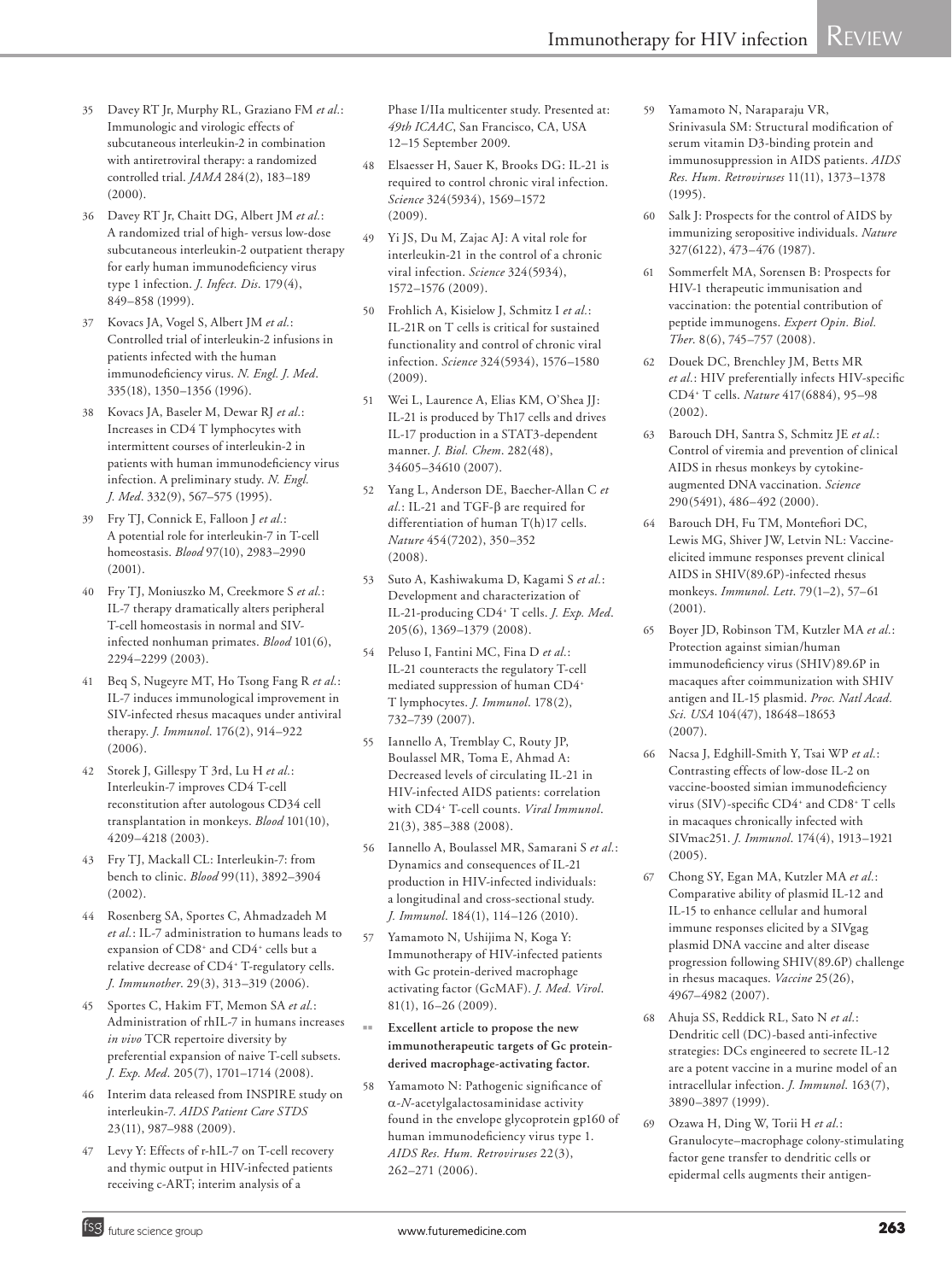- 35 Davey RT Jr, Murphy RL, Graziano FM *et al.*: Immunologic and virologic effects of subcutaneous interleukin-2 in combination with antiretroviral therapy: a randomized controlled trial. *JAMA* 284(2), 183–189 (2000).
- 36 Davey RT Jr, Chaitt DG, Albert JM *et al.*: A randomized trial of high- versus low-dose subcutaneous interleukin-2 outpatient therapy for early human immunodeficiency virus type 1 infection. *J. Infect. Dis*. 179(4), 849–858 (1999).
- 37 Kovacs JA, Vogel S, Albert JM *et al.*: Controlled trial of interleukin-2 infusions in patients infected with the human immunodeficiency virus. *N. Engl. J. Med*. 335(18), 1350–1356 (1996).
- 38 Kovacs JA, Baseler M, Dewar RJ *et al.*: Increases in CD4 T lymphocytes with intermittent courses of interleukin-2 in patients with human immunodeficiency virus infection. A preliminary study. *N. Engl. J. Med*. 332(9), 567–575 (1995).
- 39 Fry TJ, Connick E, Falloon J *et al.*: A potential role for interleukin-7 in T-cell homeostasis. *Blood* 97(10), 2983–2990  $(2001)$
- 40 Fry TJ, Moniuszko M, Creekmore S *et al.*: IL-7 therapy dramatically alters peripheral T-cell homeostasis in normal and SIVinfected nonhuman primates. *Blood* 101(6), 2294–2299 (2003).
- 41 Beq S, Nugeyre MT, Ho Tsong Fang R *et al.*: IL-7 induces immunological improvement in SIV-infected rhesus macaques under antiviral therapy. *J. Immunol*. 176(2), 914–922 (2006).
- 42 Storek J, Gillespy T 3rd, Lu H *et al.*: Interleukin-7 improves CD4 T-cell reconstitution after autologous CD34 cell transplantation in monkeys. *Blood* 101(10), 4209–4218 (2003).
- 43 Fry TJ, Mackall CL: Interleukin-7: from bench to clinic. *Blood* 99(11), 3892–3904 (2002).
- 44 Rosenberg SA, Sportes C, Ahmadzadeh M *et al.*: IL-7 administration to humans leads to expansion of CD8<sup>+</sup> and CD4<sup>+</sup> cells but a relative decrease of CD4+ T-regulatory cells. *J. Immunother*. 29(3), 313–319 (2006).
- 45 Sportes C, Hakim FT, Memon SA *et al.*: Administration of rhIL-7 in humans increases *in vivo* TCR repertoire diversity by preferential expansion of naive T-cell subsets. *J. Exp. Med*. 205(7), 1701–1714 (2008).
- 46 Interim data released from INSPIRE study on interleukin-7. *AIDS Patient Care STDS* 23(11), 987–988 (2009).
- 47 Levy Y: Effects of r-hIL-7 on T-cell recovery and thymic output in HIV-infected patients receiving c-ART; interim analysis of a

Phase I/IIa multicenter study. Presented at: *49th ICAAC*, San Francisco, CA, USA 12–15 September 2009.

- 48 Elsaesser H, Sauer K, Brooks DG: IL-21 is required to control chronic viral infection. *Science* 324(5934), 1569–1572  $(2009)$
- 49 Yi JS, Du M, Zajac AJ: A vital role for interleukin-21 in the control of a chronic viral infection. *Science* 324(5934), 1572–1576 (2009).
- 50 Frohlich A, Kisielow J, Schmitz I *et al.*: IL-21R on T cells is critical for sustained functionality and control of chronic viral infection. *Science* 324(5934), 1576–1580  $(2009)$
- 51 Wei L, Laurence A, Elias KM, O'Shea JJ: IL-21 is produced by Th17 cells and drives IL-17 production in a STAT3-dependent manner. *J. Biol. Chem*. 282(48), 34605–34610 (2007).
- 52 Yang L, Anderson DE, Baecher-Allan C *et al.*: IL-21 and TGF-β are required for differentiation of human T(h)17 cells. *Nature* 454(7202), 350–352 (2008).
- 53 Suto A, Kashiwakuma D, Kagami S *et al.*: Development and characterization of IL-21-producing CD4+ T cells. *J. Exp. Med*. 205(6), 1369–1379 (2008).
- 54 Peluso I, Fantini MC, Fina D *et al.*: IL-21 counteracts the regulatory T-cell mediated suppression of human CD4+ T lymphocytes. *J. Immunol*. 178(2), 732–739 (2007).
- 55 Iannello A, Tremblay C, Routy JP, Boulassel MR, Toma E, Ahmad A: Decreased levels of circulating IL-21 in HIV-infected AIDS patients: correlation with CD4+ T-cell counts. *Viral Immunol*. 21(3), 385–388 (2008).
- 56 Iannello A, Boulassel MR, Samarani S *et al.*: Dynamics and consequences of IL-21 production in HIV-infected individuals: a longitudinal and cross-sectional study. *J. Immunol*. 184(1), 114–126 (2010).
- 57 Yamamoto N, Ushijima N, Koga Y: Immunotherapy of HIV-infected patients with Gc protein-derived macrophage activating factor (GcMAF). *J. Med. Virol*. 81(1), 16–26 (2009).
- **Excellent article to propose the new immunotherapeutic targets of Gc proteinderived macrophage-activating factor.**
- 58 Yamamoto N: Pathogenic significance of a-*N*-acetylgalactosaminidase activity found in the envelope glycoprotein gp160 of human immunodeficiency virus type 1. *AIDS Res. Hum. Retroviruses* 22(3), 262–271 (2006).
- 59 Yamamoto N, Naraparaju VR, Srinivasula SM: Structural modification of serum vitamin D3-binding protein and immunosuppression in AIDS patients. *AIDS Res. Hum. Retroviruses* 11(11), 1373–1378 (1995).
- 60 Salk J: Prospects for the control of AIDS by immunizing seropositive individuals. *Nature* 327(6122), 473–476 (1987).
- 61 Sommerfelt MA, Sorensen B: Prospects for HIV-1 therapeutic immunisation and vaccination: the potential contribution of peptide immunogens. *Expert Opin. Biol. Ther*. 8(6), 745–757 (2008).
- 62 Douek DC, Brenchley JM, Betts MR *et al.*: HIV preferentially infects HIV-specific CD4+ T cells. *Nature* 417(6884), 95–98 (2002).
- 63 Barouch DH, Santra S, Schmitz JE *et al.*: Control of viremia and prevention of clinical AIDS in rhesus monkeys by cytokineaugmented DNA vaccination. *Science* 290(5491), 486–492 (2000).
- 64 Barouch DH, Fu TM, Montefiori DC, Lewis MG, Shiver JW, Letvin NL: Vaccineelicited immune responses prevent clinical AIDS in SHIV(89.6P)-infected rhesus monkeys. *Immunol. Lett*. 79(1–2), 57–61 (2001).
- 65 Boyer JD, Robinson TM, Kutzler MA *et al.*: Protection against simian/human immunodeficiency virus (SHIV)89.6P in macaques after coimmunization with SHIV antigen and IL-15 plasmid. *Proc. Natl Acad. Sci. USA* 104(47), 18648–18653 (2007).
- 66 Nacsa J, Edghill-Smith Y, Tsai WP *et al.*: Contrasting effects of low-dose IL-2 on vaccine-boosted simian immunodeficiency virus (SIV)-specific CD4<sup>+</sup> and CD8<sup>+</sup> T cells in macaques chronically infected with SIVmac251. *J. Immunol*. 174(4), 1913–1921 (2005).
- 67 Chong SY, Egan MA, Kutzler MA *et al.*: Comparative ability of plasmid IL-12 and IL-15 to enhance cellular and humoral immune responses elicited by a SIVgag plasmid DNA vaccine and alter disease progression following SHIV(89.6P) challenge in rhesus macaques. *Vaccine* 25(26), 4967–4982 (2007).
- 68 Ahuja SS, Reddick RL, Sato N *et al.*: Dendritic cell (DC)-based anti-infective strategies: DCs engineered to secrete IL-12 are a potent vaccine in a murine model of an intracellular infection. *J. Immunol*. 163(7), 3890–3897 (1999).
- 69 Ozawa H, Ding W, Torii H *et al.*: Granulocyte–macrophage colony-stimulating factor gene transfer to dendritic cells or epidermal cells augments their antigen-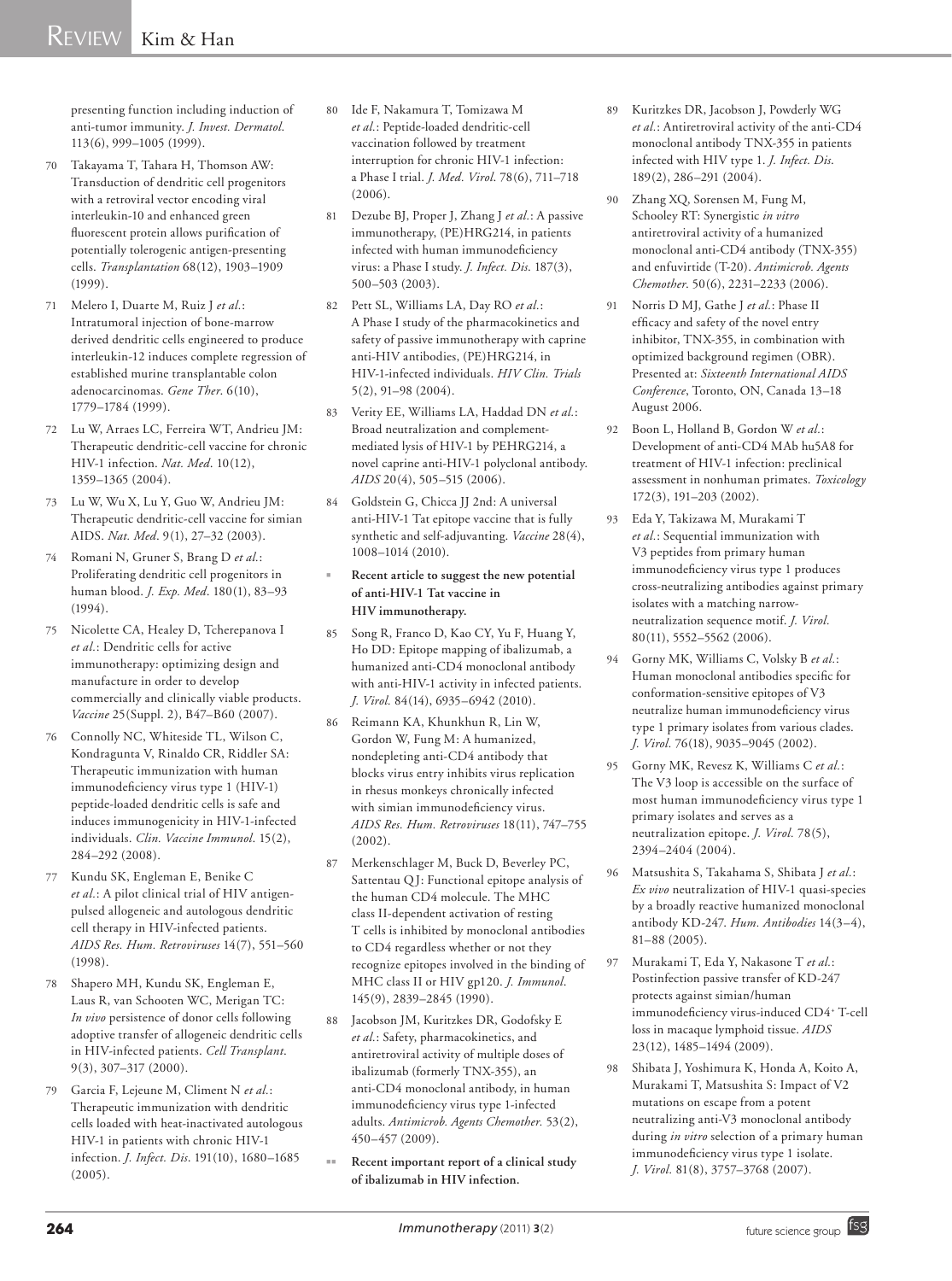presenting function including induction of anti-tumor immunity. *J. Invest. Dermatol*. 113(6), 999–1005 (1999).

- 70 Takayama T, Tahara H, Thomson AW: Transduction of dendritic cell progenitors with a retroviral vector encoding viral interleukin-10 and enhanced green fluorescent protein allows purification of potentially tolerogenic antigen-presenting cells. *Transplantation* 68(12), 1903–1909 (1999).
- 71 Melero I, Duarte M, Ruiz J *et al.*: Intratumoral injection of bone-marrow derived dendritic cells engineered to produce interleukin-12 induces complete regression of established murine transplantable colon adenocarcinomas. *Gene Ther*. 6(10), 1779–1784 (1999).
- 72 Lu W, Arraes LC, Ferreira WT, Andrieu JM: Therapeutic dendritic-cell vaccine for chronic HIV-1 infection. *Nat. Med*. 10(12), 1359–1365 (2004).
- 73 Lu W, Wu X, Lu Y, Guo W, Andrieu JM: Therapeutic dendritic-cell vaccine for simian AIDS. *Nat. Med*. 9(1), 27–32 (2003).
- 74 Romani N, Gruner S, Brang D *et al.*: Proliferating dendritic cell progenitors in human blood. *J. Exp. Med*. 180(1), 83–93 (1994).
- 75 Nicolette CA, Healey D, Tcherepanova I *et al.*: Dendritic cells for active immunotherapy: optimizing design and manufacture in order to develop commercially and clinically viable products. *Vaccine* 25(Suppl. 2), B47–B60 (2007).
- 76 Connolly NC, Whiteside TL, Wilson C, Kondragunta V, Rinaldo CR, Riddler SA: Therapeutic immunization with human immunodeficiency virus type 1 (HIV-1) peptide-loaded dendritic cells is safe and induces immunogenicity in HIV-1-infected individuals. *Clin. Vaccine Immunol*. 15(2), 284–292 (2008).
- 77 Kundu SK, Engleman E, Benike C *et al.*: A pilot clinical trial of HIV antigenpulsed allogeneic and autologous dendritic cell therapy in HIV-infected patients. *AIDS Res. Hum. Retroviruses* 14(7), 551–560 (1998).
- 78 Shapero MH, Kundu SK, Engleman E, Laus R, van Schooten WC, Merigan TC: *In vivo* persistence of donor cells following adoptive transfer of allogeneic dendritic cells in HIV-infected patients. *Cell Transplant*. 9(3), 307–317 (2000).
- 79 Garcia F, Lejeune M, Climent N *et al.*: Therapeutic immunization with dendritic cells loaded with heat-inactivated autologous HIV-1 in patients with chronic HIV-1 infection. *J. Infect. Dis*. 191(10), 1680–1685 (2005).
- 80 Ide F, Nakamura T, Tomizawa M *et al.*: Peptide-loaded dendritic-cell vaccination followed by treatment interruption for chronic HIV-1 infection: a Phase I trial. *J. Med. Virol*. 78(6), 711–718  $(2006)$ .
- 81 Dezube BJ, Proper J, Zhang J *et al.*: A passive immunotherapy, (PE)HRG214, in patients infected with human immunodeficiency virus: a Phase I study. *J. Infect. Dis*. 187(3), 500–503 (2003).
- 82 Pett SL, Williams LA, Day RO *et al.*: A Phase I study of the pharmacokinetics and safety of passive immunotherapy with caprine anti-HIV antibodies, (PE)HRG214, in HIV-1-infected individuals. *HIV Clin. Trials*  $5(2)$ , 91–98 (2004).
- 83 Verity EE, Williams LA, Haddad DN *et al.*: Broad neutralization and complementmediated lysis of HIV-1 by PEHRG214, a novel caprine anti-HIV-1 polyclonal antibody. *AIDS* 20(4), 505–515 (2006).
- 84 Goldstein G, Chicca JJ 2nd: A universal anti-HIV-1 Tat epitope vaccine that is fully synthetic and self-adjuvanting. *Vaccine* 28(4), 1008–1014 (2010).
- Recent article to suggest the new potential **of anti-HIV-1 Tat vaccine in HIV immunotherapy.**
- 85 Song R, Franco D, Kao CY, Yu F, Huang Y, Ho DD: Epitope mapping of ibalizumab, a humanized anti-CD4 monoclonal antibody with anti-HIV-1 activity in infected patients. *J. Virol.* 84(14), 6935–6942 (2010).
- 86 Reimann KA, Khunkhun R, Lin W, Gordon W, Fung M: A humanized, nondepleting anti-CD4 antibody that blocks virus entry inhibits virus replication in rhesus monkeys chronically infected with simian immunodeficiency virus. *AIDS Res. Hum. Retroviruses* 18(11), 747–755  $(2002)$ .
- 87 Merkenschlager M, Buck D, Beverley PC, Sattentau Q J: Functional epitope analysis of the human CD4 molecule. The MHC class II-dependent activation of resting T cells is inhibited by monoclonal antibodies to CD4 regardless whether or not they recognize epitopes involved in the binding of MHC class II or HIV gp120. *J. Immunol*. 145(9), 2839–2845 (1990).
- 88 Jacobson JM, Kuritzkes DR, Godofsky E *et al.*: Safety, pharmacokinetics, and antiretroviral activity of multiple doses of ibalizumab (formerly TNX-355), an anti-CD4 monoclonal antibody, in human immunodeficiency virus type 1-infected adults. *Antimicrob. Agents Chemother.* 53(2), 450–457 (2009).
- Recent important report of a clinical study **of ibalizumab in HIV infection.**
- 89 Kuritzkes DR, Jacobson J, Powderly WG *et al.*: Antiretroviral activity of the anti-CD4 monoclonal antibody TNX-355 in patients infected with HIV type 1. *J. Infect. Dis*. 189(2), 286–291 (2004).
- 90 Zhang XQ, Sorensen M, Fung M, Schooley RT: Synergistic *in vitro* antiretroviral activity of a humanized monoclonal anti-CD4 antibody (TNX-355) and enfuvirtide (T-20). *Antimicrob. Agents Chemother*. 50(6), 2231–2233 (2006).
- 91 Norris D MJ, Gathe J *et al.*: Phase II efficacy and safety of the novel entry inhibitor, TNX-355, in combination with optimized background regimen (OBR). Presented at: *Sixteenth International AIDS Conference*, Toronto, ON, Canada 13–18 August 2006.
- 92 Boon L, Holland B, Gordon W *et al.*: Development of anti-CD4 MAb hu5A8 for treatment of HIV-1 infection: preclinical assessment in nonhuman primates. *Toxicology* 172(3), 191–203 (2002).
- 93 Eda Y, Takizawa M, Murakami T *et al.*: Sequential immunization with V3 peptides from primary human immunodeficiency virus type 1 produces cross-neutralizing antibodies against primary isolates with a matching narrowneutralization sequence motif. *J. Virol.* 80(11), 5552–5562 (2006).
- 94 Gorny MK, Williams C, Volsky B *et al.*: Human monoclonal antibodies specific for conformation-sensitive epitopes of V3 neutralize human immunodeficiency virus type 1 primary isolates from various clades. *J. Virol.* 76(18), 9035–9045 (2002).
- 95 Gorny MK, Revesz K, Williams C *et al.*: The V3 loop is accessible on the surface of most human immunodeficiency virus type 1 primary isolates and serves as a neutralization epitope. *J. Virol.* 78(5), 2394–2404 (2004).
- 96 Matsushita S, Takahama S, Shibata J *et al.*: *Ex vivo* neutralization of HIV-1 quasi-species by a broadly reactive humanized monoclonal antibody KD-247. *Hum. Antibodies* 14(3–4), 81–88 (2005).
- 97 Murakami T, Eda Y, Nakasone T *et al.*: Postinfection passive transfer of KD-247 protects against simian/human immunodeficiency virus-induced CD4+ T-cell loss in macaque lymphoid tissue. *AIDS* 23(12), 1485–1494 (2009).
- 98 Shibata J, Yoshimura K, Honda A, Koito A, Murakami T, Matsushita S: Impact of V2 mutations on escape from a potent neutralizing anti-V3 monoclonal antibody during *in vitro* selection of a primary human immunodeficiency virus type 1 isolate. *J. Virol.* 81(8), 3757–3768 (2007).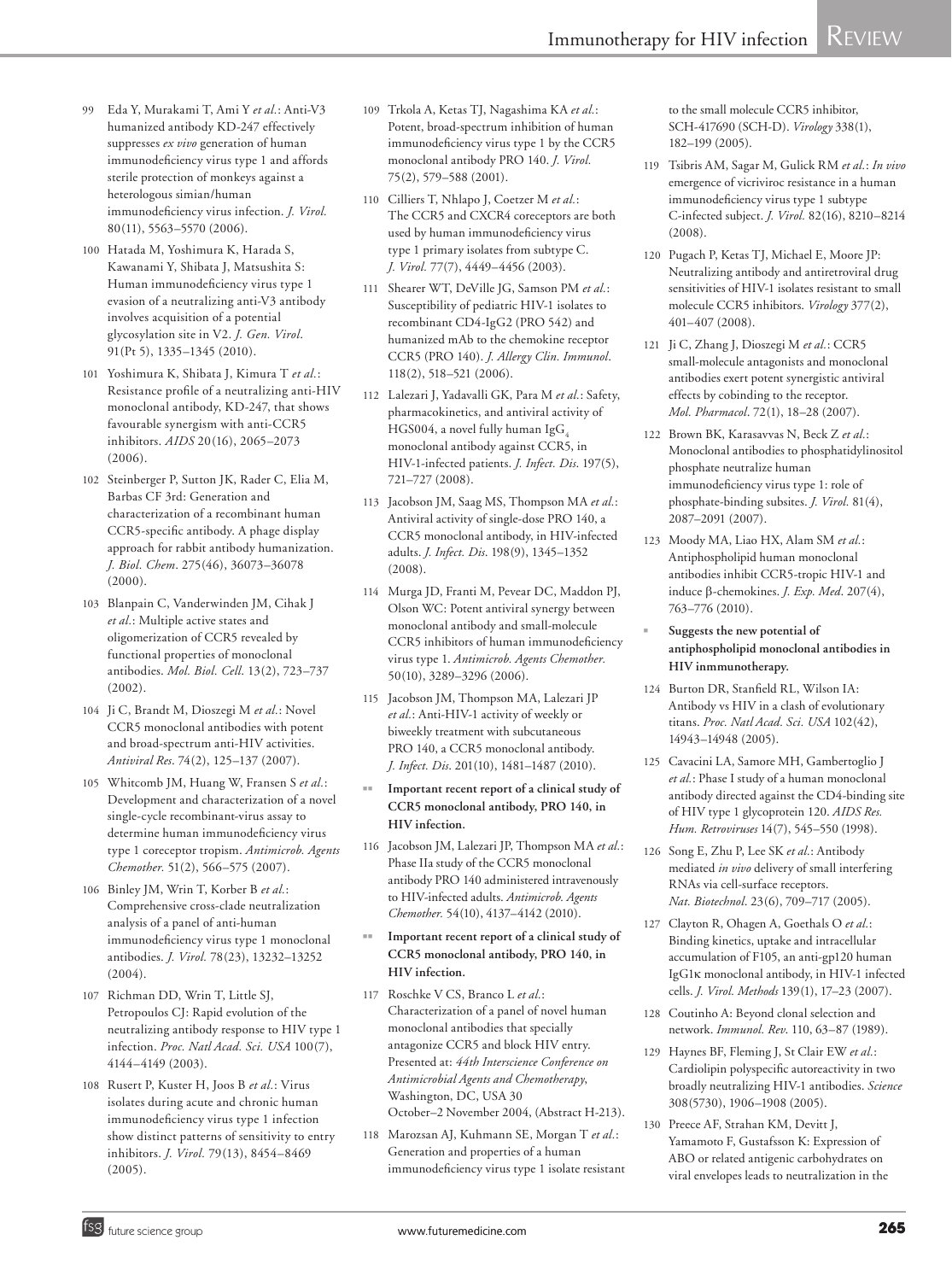- 99 Eda Y, Murakami T, Ami Y *et al.*: Anti-V3 humanized antibody KD-247 effectively suppresses *ex vivo* generation of human immunodeficiency virus type 1 and affords sterile protection of monkeys against a heterologous simian/human immunodeficiency virus infection. *J. Virol.* 80(11), 5563–5570 (2006).
- 100 Hatada M, Yoshimura K, Harada S, Kawanami Y, Shibata J, Matsushita S: Human immunodeficiency virus type 1 evasion of a neutralizing anti-V3 antibody involves acquisition of a potential glycosylation site in V2. *J. Gen. Virol*. 91(Pt 5), 1335–1345 (2010).
- 101 Yoshimura K, Shibata J, Kimura T *et al.*: Resistance profile of a neutralizing anti-HIV monoclonal antibody, KD-247, that shows favourable synergism with anti-CCR5 inhibitors. *AIDS* 20(16), 2065–2073 (2006).
- 102 Steinberger P, Sutton JK, Rader C, Elia M, Barbas CF 3rd: Generation and characterization of a recombinant human CCR5-specific antibody. A phage display approach for rabbit antibody humanization. *J. Biol. Chem*. 275(46), 36073–36078 (2000).
- 103 Blanpain C, Vanderwinden JM, Cihak J *et al.*: Multiple active states and oligomerization of CCR5 revealed by functional properties of monoclonal antibodies. *Mol. Biol. Cell*. 13(2), 723–737 (2002).
- 104 Ji C, Brandt M, Dioszegi M *et al.*: Novel CCR5 monoclonal antibodies with potent and broad-spectrum anti-HIV activities. *Antiviral Res*. 74(2), 125–137 (2007).
- 105 Whitcomb JM, Huang W, Fransen S *et al.*: Development and characterization of a novel single-cycle recombinant-virus assay to determine human immunodeficiency virus type 1 coreceptor tropism. *Antimicrob. Agents Chemother.* 51(2), 566–575 (2007).
- 106 Binley JM, Wrin T, Korber B *et al.*: Comprehensive cross-clade neutralization analysis of a panel of anti-human immunodeficiency virus type 1 monoclonal antibodies. *J. Virol.* 78(23), 13232–13252 (2004).
- 107 Richman DD, Wrin T, Little SJ, Petropoulos CJ: Rapid evolution of the neutralizing antibody response to HIV type 1 infection. *Proc. Natl Acad. Sci. USA* 100(7), 4144–4149 (2003).
- 108 Rusert P, Kuster H, Joos B *et al.*: Virus isolates during acute and chronic human immunodeficiency virus type 1 infection show distinct patterns of sensitivity to entry inhibitors. *J. Virol.* 79(13), 8454–8469 (2005).
- 109 Trkola A, Ketas TJ, Nagashima KA *et al.*: Potent, broad-spectrum inhibition of human immunodeficiency virus type 1 by the CCR5 monoclonal antibody PRO 140. *J. Virol.* 75(2), 579–588 (2001).
- 110 Cilliers T, Nhlapo J, Coetzer M *et al.*: The CCR5 and CXCR4 coreceptors are both used by human immunodeficiency virus type 1 primary isolates from subtype C. *J. Virol.* 77(7), 4449–4456 (2003).
- 111 Shearer WT, DeVille JG, Samson PM *et al.*: Susceptibility of pediatric HIV-1 isolates to recombinant CD4-IgG2 (PRO 542) and humanized mAb to the chemokine receptor CCR5 (PRO 140). *J. Allergy Clin. Immunol*. 118(2), 518–521 (2006).
- 112 Lalezari J, Yadavalli GK, Para M *et al.*: Safety, pharmacokinetics, and antiviral activity of HGS004, a novel fully human IgG<sub>4</sub> monoclonal antibody against CCR5, in HIV-1-infected patients. *J. Infect. Dis*. 197(5), 721–727 (2008).
- 113 Jacobson JM, Saag MS, Thompson MA *et al.*: Antiviral activity of single-dose PRO 140, a CCR5 monoclonal antibody, in HIV-infected adults. *J. Infect. Dis*. 198(9), 1345–1352  $(2008)$
- 114 Murga JD, Franti M, Pevear DC, Maddon PJ, Olson WC: Potent antiviral synergy between monoclonal antibody and small-molecule CCR5 inhibitors of human immunodeficiency virus type 1. *Antimicrob. Agents Chemother.* 50(10), 3289–3296 (2006).
- 115 Jacobson JM, Thompson MA, Lalezari JP *et al.*: Anti-HIV-1 activity of weekly or biweekly treatment with subcutaneous PRO 140, a CCR5 monoclonal antibody. *J. Infect. Dis*. 201(10), 1481–1487 (2010).
- Important recent report of a clinical study of **CCR5 monoclonal antibody, PRO 140, in HIV infection.**
- 116 Jacobson JM, Lalezari JP, Thompson MA *et al.*: Phase IIa study of the CCR5 monoclonal antibody PRO 140 administered intravenously to HIV-infected adults. *Antimicrob. Agents Chemother.* 54(10), 4137–4142 (2010).
- Important recent report of a clinical study of **CCR5 monoclonal antibody, PRO 140, in HIV infection.**
- 117 Roschke V CS, Branco L *et al.*: Characterization of a panel of novel human monoclonal antibodies that specially antagonize CCR5 and block HIV entry. Presented at: *44th Interscience Conference on Antimicrobial Agents and Chemotherapy*, Washington, DC, USA 30 October–2 November 2004, (Abstract H-213).
- 118 Marozsan AJ, Kuhmann SE, Morgan T *et al.*: Generation and properties of a human immunodeficiency virus type 1 isolate resistant

to the small molecule CCR5 inhibitor, SCH-417690 (SCH-D). *Virology* 338(1), 182–199 (2005).

- 119 Tsibris AM, Sagar M, Gulick RM *et al.*: *In vivo* emergence of vicriviroc resistance in a human immunodeficiency virus type 1 subtype C-infected subject. *J. Virol.* 82(16), 8210–8214 (2008).
- 120 Pugach P, Ketas TJ, Michael E, Moore JP: Neutralizing antibody and antiretroviral drug sensitivities of HIV-1 isolates resistant to small molecule CCR5 inhibitors. *Virology* 377(2), 401–407 (2008).
- 121 Ji C, Zhang J, Dioszegi M *et al.*: CCR5 small-molecule antagonists and monoclonal antibodies exert potent synergistic antiviral effects by cobinding to the receptor. *Mol. Pharmacol*. 72(1), 18–28 (2007).
- 122 Brown BK, Karasavvas N, Beck Z *et al.*: Monoclonal antibodies to phosphatidylinositol phosphate neutralize human immunodeficiency virus type 1: role of phosphate-binding subsites. *J. Virol.* 81(4), 2087–2091 (2007).
- 123 Moody MA, Liao HX, Alam SM *et al.*: Antiphospholipid human monoclonal antibodies inhibit CCR5-tropic HIV-1 and induce b-chemokines. *J. Exp. Med*. 207(4), 763–776 (2010).
- Suggests the new potential of **antiphospholipid monoclonal antibodies in HIV inmmunotherapy.**
- 124 Burton DR, Stanfield RL, Wilson IA: Antibody vs HIV in a clash of evolutionary titans. *Proc. Natl Acad. Sci. USA* 102(42), 14943–14948 (2005).
- 125 Cavacini LA, Samore MH, Gambertoglio J *et al.*: Phase I study of a human monoclonal antibody directed against the CD4-binding site of HIV type 1 glycoprotein 120. *AIDS Res. Hum. Retroviruses* 14(7), 545–550 (1998).
- 126 Song E, Zhu P, Lee SK *et al.*: Antibody mediated *in vivo* delivery of small interfering RNAs via cell-surface receptors. *Nat. Biotechnol*. 23(6), 709–717 (2005).
- 127 Clayton R, Ohagen A, Goethals O *et al.*: Binding kinetics, uptake and intracellular accumulation of F105, an anti-gp120 human IgG1k monoclonal antibody, in HIV-1 infected cells. *J. Virol. Methods* 139(1), 17–23 (2007).
- 128 Coutinho A: Beyond clonal selection and network. *Immunol. Rev*. 110, 63–87 (1989).
- 129 Haynes BF, Fleming J, St Clair EW *et al.*: Cardiolipin polyspecific autoreactivity in two broadly neutralizing HIV-1 antibodies. *Science* 308(5730), 1906–1908 (2005).
- 130 Preece AF, Strahan KM, Devitt J, Yamamoto F, Gustafsson K: Expression of ABO or related antigenic carbohydrates on viral envelopes leads to neutralization in the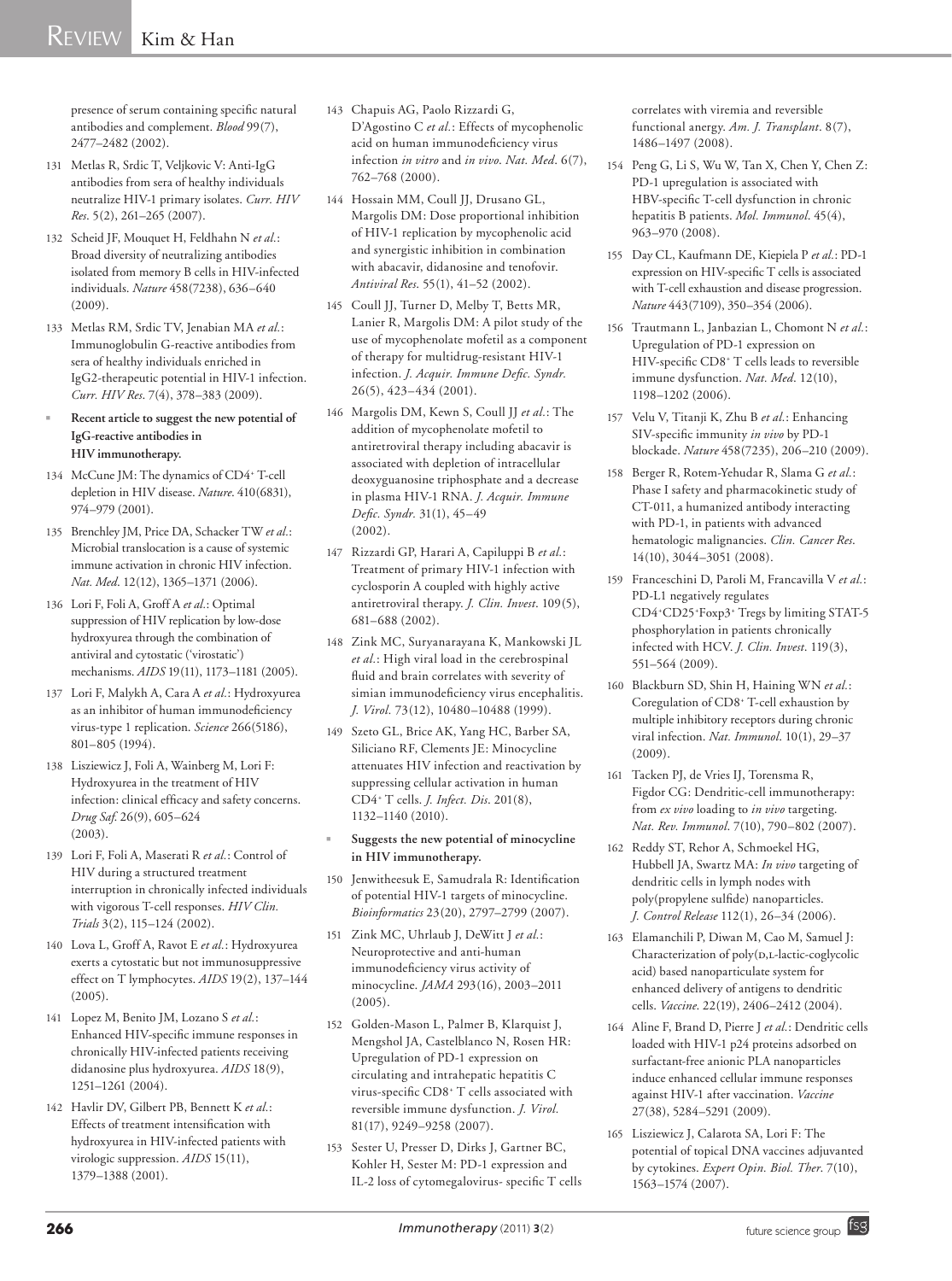# $REVIEW$  Kim & Han

presence of serum containing specific natural antibodies and complement. *Blood* 99(7), 2477–2482 (2002).

- 131 Metlas R, Srdic T, Veljkovic V: Anti-IgG antibodies from sera of healthy individuals neutralize HIV-1 primary isolates. *Curr. HIV Res*. 5(2), 261–265 (2007).
- 132 Scheid JF, Mouquet H, Feldhahn N *et al.*: Broad diversity of neutralizing antibodies isolated from memory B cells in HIV-infected individuals. *Nature* 458(7238), 636–640 (2009).
- 133 Metlas RM, Srdic TV, Jenabian MA *et al.*: Immunoglobulin G-reactive antibodies from sera of healthy individuals enriched in IgG2-therapeutic potential in HIV-1 infection. *Curr. HIV Res*. 7(4), 378–383 (2009).
- Recent article to suggest the new potential of **IgG-reactive antibodies in HIV immunotherapy.**
- 134 McCune JM: The dynamics of CD4<sup>+</sup> T-cell depletion in HIV disease. *Nature*. 410(6831), 974–979 (2001).
- 135 Brenchley JM, Price DA, Schacker TW *et al.*: Microbial translocation is a cause of systemic immune activation in chronic HIV infection. *Nat. Med*. 12(12), 1365–1371 (2006).
- 136 Lori F, Foli A, Groff A *et al.*: Optimal suppression of HIV replication by low-dose hydroxyurea through the combination of antiviral and cytostatic ('virostatic') mechanisms. *AIDS* 19(11), 1173–1181 (2005).
- 137 Lori F, Malykh A, Cara A *et al.*: Hydroxyurea as an inhibitor of human immunodeficiency virus-type 1 replication. *Science* 266(5186), 801–805 (1994).
- 138 Lisziewicz J, Foli A, Wainberg M, Lori F: Hydroxyurea in the treatment of HIV infection: clinical efficacy and safety concerns. *Drug Saf*. 26(9), 605–624 (2003).
- 139 Lori F, Foli A, Maserati R *et al.*: Control of HIV during a structured treatment interruption in chronically infected individuals with vigorous T-cell responses. *HIV Clin. Trials* 3(2), 115–124 (2002).
- 140 Lova L, Groff A, Ravot E *et al.*: Hydroxyurea exerts a cytostatic but not immunosuppressive effect on T lymphocytes. *AIDS* 19(2), 137–144  $(2005)$
- 141 Lopez M, Benito JM, Lozano S *et al.*: Enhanced HIV-specific immune responses in chronically HIV-infected patients receiving didanosine plus hydroxyurea. *AIDS* 18(9), 1251–1261 (2004).
- 142 Havlir DV, Gilbert PB, Bennett K *et al.*: Effects of treatment intensification with hydroxyurea in HIV-infected patients with virologic suppression. *AIDS* 15(11), 1379–1388 (2001).
- 143 Chapuis AG, Paolo Rizzardi G, D'Agostino C *et al.*: Effects of mycophenolic acid on human immunodeficiency virus infection *in vitro* and *in vivo*. *Nat. Med*. 6(7), 762–768 (2000).
- 144 Hossain MM, Coull JJ, Drusano GL, Margolis DM: Dose proportional inhibition of HIV-1 replication by mycophenolic acid and synergistic inhibition in combination with abacavir, didanosine and tenofovir. *Antiviral Res*. 55(1), 41–52 (2002).
- 145 Coull JJ, Turner D, Melby T, Betts MR, Lanier R, Margolis DM: A pilot study of the use of mycophenolate mofetil as a component of therapy for multidrug-resistant HIV-1 infection. *J. Acquir. Immune Defic. Syndr.* 26(5), 423–434 (2001).
- 146 Margolis DM, Kewn S, Coull JJ *et al.*: The addition of mycophenolate mofetil to antiretroviral therapy including abacavir is associated with depletion of intracellular deoxyguanosine triphosphate and a decrease in plasma HIV-1 RNA. *J. Acquir. Immune Defic. Syndr.* 31(1), 45–49 (2002).
- 147 Rizzardi GP, Harari A, Capiluppi B *et al.*: Treatment of primary HIV-1 infection with cyclosporin A coupled with highly active antiretroviral therapy. *J. Clin. Invest*. 109(5), 681–688 (2002).
- 148 Zink MC, Suryanarayana K, Mankowski JL *et al.*: High viral load in the cerebrospinal fluid and brain correlates with severity of simian immunodeficiency virus encephalitis. *J. Virol.* 73(12), 10480–10488 (1999).
- 149 Szeto GL, Brice AK, Yang HC, Barber SA, Siliciano RF, Clements JE: Minocycline attenuates HIV infection and reactivation by suppressing cellular activation in human CD4+ T cells. *J. Infect. Dis*. 201(8), 1132–1140 (2010).
- <sup>n</sup> **Suggests the new potential of minocycline in HIV immunotherapy.**
- 150 Jenwitheesuk E, Samudrala R: Identification of potential HIV-1 targets of minocycline. *Bioinformatics* 23(20), 2797–2799 (2007).
- 151 Zink MC, Uhrlaub J, DeWitt J *et al.*: Neuroprotective and anti-human immunodeficiency virus activity of minocycline. *JAMA* 293(16), 2003–2011 (2005).
- 152 Golden-Mason L, Palmer B, Klarquist J, Mengshol JA, Castelblanco N, Rosen HR: Upregulation of PD-1 expression on circulating and intrahepatic hepatitis C virus-specific CD8+ T cells associated with reversible immune dysfunction. *J. Virol.* 81(17), 9249–9258 (2007).
- 153 Sester U, Presser D, Dirks J, Gartner BC, Kohler H, Sester M: PD-1 expression and IL-2 loss of cytomegalovirus- specific T cells

correlates with viremia and reversible functional anergy. *Am. J. Transplant*. 8(7), 1486–1497 (2008).

- 154 Peng G, Li S, Wu W, Tan X, Chen Y, Chen Z: PD-1 upregulation is associated with HBV-specific T-cell dysfunction in chronic hepatitis B patients. *Mol. Immunol*. 45(4), 963–970 (2008).
- 155 Day CL, Kaufmann DE, Kiepiela P *et al.*: PD-1 expression on HIV-specific T cells is associated with T-cell exhaustion and disease progression. *Nature* 443(7109), 350–354 (2006).
- 156 Trautmann L, Janbazian L, Chomont N *et al.*: Upregulation of PD-1 expression on HIV-specific CD8+ T cells leads to reversible immune dysfunction. *Nat. Med*. 12(10), 1198–1202 (2006).
- 157 Velu V, Titanji K, Zhu B *et al.*: Enhancing SIV-specific immunity *in vivo* by PD-1 blockade. *Nature* 458(7235), 206–210 (2009).
- 158 Berger R, Rotem-Yehudar R, Slama G *et al.*: Phase I safety and pharmacokinetic study of CT-011, a humanized antibody interacting with PD-1, in patients with advanced hematologic malignancies. *Clin. Cancer Res*. 14(10), 3044–3051 (2008).
- 159 Franceschini D, Paroli M, Francavilla V *et al.*: PD-L1 negatively regulates CD4+ CD25+ Foxp3+ Tregs by limiting STAT-5 phosphorylation in patients chronically infected with HCV. *J. Clin. Invest*. 119(3), 551–564 (2009).
- 160 Blackburn SD, Shin H, Haining WN *et al.*: Coregulation of CD8+ T-cell exhaustion by multiple inhibitory receptors during chronic viral infection. *Nat. Immunol*. 10(1), 29–37  $(2009)$
- 161 Tacken PJ, de Vries IJ, Torensma R, Figdor CG: Dendritic-cell immunotherapy: from *ex vivo* loading to *in vivo* targeting. *Nat. Rev. Immunol*. 7(10), 790–802 (2007).
- 162 Reddy ST, Rehor A, Schmoekel HG, Hubbell JA, Swartz MA: *In vivo* targeting of dendritic cells in lymph nodes with poly(propylene sulfide) nanoparticles. *J. Control Release* 112(1), 26–34 (2006).
- 163 Elamanchili P, Diwan M, Cao M, Samuel J: Characterization of poly(D,L-lactic-coglycolic acid) based nanoparticulate system for enhanced delivery of antigens to dendritic cells. *Vaccine*. 22(19), 2406–2412 (2004).
- 164 Aline F, Brand D, Pierre J *et al.*: Dendritic cells loaded with HIV-1 p24 proteins adsorbed on surfactant-free anionic PLA nanoparticles induce enhanced cellular immune responses against HIV-1 after vaccination. *Vaccine* 27(38), 5284–5291 (2009).
- 165 Lisziewicz J, Calarota SA, Lori F: The potential of topical DNA vaccines adjuvanted by cytokines. *Expert Opin. Biol. Ther*. 7(10), 1563–1574 (2007).